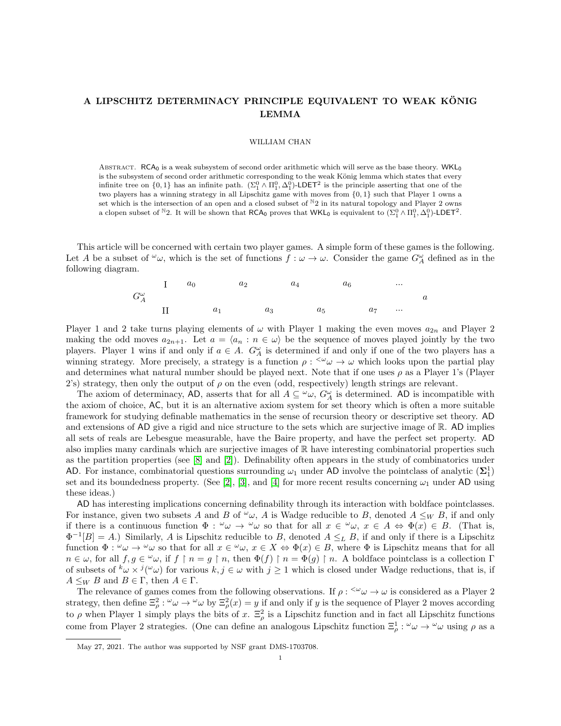# A LIPSCHITZ DETERMINACY PRINCIPLE EQUIVALENT TO WEAK KONIG LEMMA

#### WILLIAM CHAN

ABSTRACT. RCA<sub>0</sub> is a weak subsystem of second order arithmetic which will serve as the base theory. WKL<sub>0</sub> is the subsystem of second order arithmetic corresponding to the weak König lemma which states that every infinite tree on  $\{0,1\}$  has an infinite path.  $(\Sigma_1^0 \wedge \Pi_1^0, \Delta_1^0)$ -LDET<sup>2</sup> is the principle asserting that one of the two players has a winning strategy in all Lipschitz game with moves from {0, 1} such that Player 1 owns a set which is the intersection of an open and a closed subset of  $N_2$  in its natural topology and Player 2 owns a clopen subset of <sup>N</sup>2. It will be shown that  $RCA_0$  proves that WKL<sub>0</sub> is equivalent to  $(\Sigma_1^0 \wedge \Pi_1^0, \Delta_1^0)$ -LDET<sup>2</sup>.

This article will be concerned with certain two player games. A simple form of these games is the following. Let A be a subset of  $\omega_{\omega}$ , which is the set of functions  $f:\omega\to\omega$ . Consider the game  $G^{\omega}_A$  defined as in the following diagram.

$$
G_A^{\omega} \t\t\t 1 \t\t a_0 \t\t a_2 \t\t a_4 \t\t a_6 \t\t \cdots
$$
  
\n
$$
G_A^{\omega} \t\t\t 1 \t\t a_1 \t\t a_3 \t\t a_5 \t\t a_7 \t\t \cdots
$$

Player 1 and 2 take turns playing elements of  $\omega$  with Player 1 making the even moves  $a_{2n}$  and Player 2 making the odd moves  $a_{2n+1}$ . Let  $a = \langle a_n : n \in \omega \rangle$  be the sequence of moves played jointly by the two players. Player 1 wins if and only if  $a \in A$ .  $G_A^{\omega}$  is determined if and only if one of the two players has a winning strategy. More precisely, a strategy is a function  $\rho : \langle \omega \omega \rangle \to \omega$  which looks upon the partial play and determines what natural number should be played next. Note that if one uses  $\rho$  as a Player 1's (Player 2's) strategy, then only the output of  $\rho$  on the even (odd, respectively) length strings are relevant.

The axiom of determinacy, AD, asserts that for all  $A \subseteq \omega_{\omega}$ ,  $G_A^{\omega}$  is determined. AD is incompatible with the axiom of choice, AC, but it is an alternative axiom system for set theory which is often a more suitable framework for studying definable mathematics in the sense of recursion theory or descriptive set theory. AD and extensions of AD give a rigid and nice structure to the sets which are surjective image of  $\mathbb{R}$ . AD implies all sets of reals are Lebesgue measurable, have the Baire property, and have the perfect set property. AD also implies many cardinals which are surjective images of  $\mathbb R$  have interesting combinatorial properties such as the partition properties (see [\[8\]](#page-14-0) and [\[2\]](#page-14-1)). Definability often appears in the study of combinatorics under AD. For instance, combinatorial questions surrounding  $\omega_1$  under AD involve the pointclass of analytic  $(\Sigma_1^1)$ set and its boundedness property. (See [\[2\]](#page-14-1), [\[3\]](#page-14-2), and [\[4\]](#page-14-3) for more recent results concerning  $\omega_1$  under AD using these ideas.)

AD has interesting implications concerning definability through its interaction with boldface pointclasses. For instance, given two subsets A and B of  $\omega$ , A is Wadge reducible to B, denoted  $A \leq_W B$ , if and only if there is a continuous function  $\Phi: \omega \to \omega$  so that for all  $x \in \omega$ ,  $x \in A \Leftrightarrow \Phi(x) \in B$ . (That is,  $\Phi^{-1}[B] = A$ .) Similarly, A is Lipschitz reducible to B, denoted  $A \leq_L B$ , if and only if there is a Lipschitz function  $\Phi: \omega \to \omega$  so that for all  $x \in \omega$ ,  $x \in X \Leftrightarrow \Phi(x) \in B$ , where  $\Phi$  is Lipschitz means that for all  $n \in \omega$ , for all  $f, g \in \omega$ , if  $f \upharpoonright n = g \upharpoonright n$ , then  $\Phi(f) \upharpoonright n = \Phi(g) \upharpoonright n$ . A boldface pointclass is a collection  $\Gamma$ of subsets of  $^k\omega \times ^j(^{\omega}\omega)$  for various  $k, j \in \omega$  with  $j \ge 1$  which is closed under Wadge reductions, that is, if  $A \leq_W B$  and  $B \in \Gamma$ , then  $A \in \Gamma$ .

The relevance of games comes from the following observations. If  $\rho : \langle \omega \rangle \to \omega$  is considered as a Player 2 strategy, then define  $\Xi_\rho^2$ :  $\omega \to \omega \omega$  by  $\Xi_\rho^2(x) = y$  if and only if y is the sequence of Player 2 moves according to  $\rho$  when Player 1 simply plays the bits of x.  $\Xi_\rho^2$  is a Lipschitz function and in fact all Lipschitz functions come from Player 2 strategies. (One can define an analogous Lipschitz function  $\Xi_\rho^1$ :  $\omega \omega \to \omega$  using  $\rho$  as a

May 27, 2021. The author was supported by NSF grant DMS-1703708.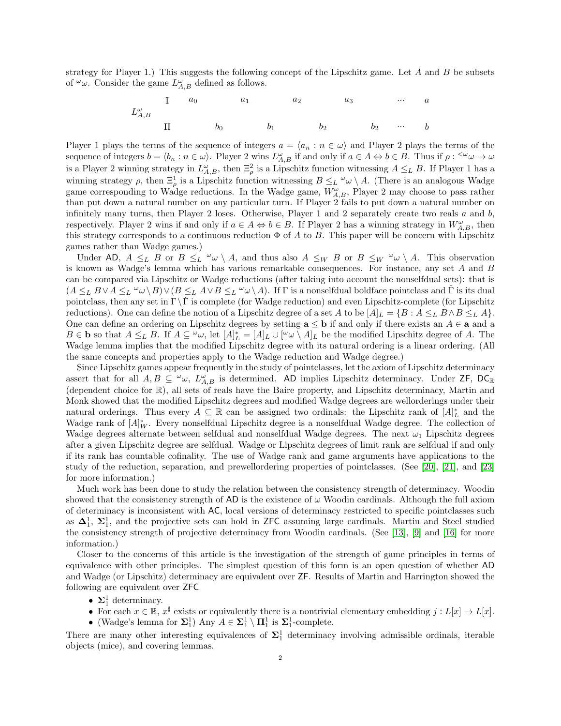strategy for Player 1.) This suggests the following concept of the Lipschitz game. Let  $A$  and  $B$  be subsets of  $\omega$ . Consider the game  $L_{A,B}^{\omega}$  defined as follows.

L ω A,B I a<sup>0</sup> a<sup>1</sup> a<sup>2</sup> a<sup>3</sup> ... a II b<sup>0</sup> b<sup>1</sup> b<sup>2</sup> b<sup>2</sup> ... b

Player 1 plays the terms of the sequence of integers  $a = \langle a_n : n \in \omega \rangle$  and Player 2 plays the terms of the sequence of integers  $b = \langle b_n : n \in \omega \rangle$ . Player 2 wins  $L_{A,B}^{\omega}$  if and only if  $a \in A \Leftrightarrow b \in B$ . Thus if  $\rho : \langle \omega \rangle \to \omega$ is a Player 2 winning strategy in  $L_{A,B}^{\omega}$ , then  $\Xi_{\rho}^2$  is a Lipschitz function witnessing  $A \leq_L B$ . If Player 1 has a winning strategy  $\rho$ , then  $\Xi_{\rho}^1$  is a Lipschitz function witnessing  $B \leq_L \omega \setminus A$ . (There is an analogous Wadge game corresponding to Wadge reductions. In the Wadge game,  $W_{A,B}^{\omega}$ , Player 2 may choose to pass rather than put down a natural number on any particular turn. If Player 2 fails to put down a natural number on infinitely many turns, then Player 2 loses. Otherwise, Player 1 and 2 separately create two reals  $a$  and  $b$ , respectively. Player 2 wins if and only if  $a \in A \Leftrightarrow b \in B$ . If Player 2 has a winning strategy in  $W^{\omega}_{A,B}$ , then this strategy corresponds to a continuous reduction  $\Phi$  of A to B. This paper will be concern with Lipschitz games rather than Wadge games.)

Under AD,  $A \leq_L B$  or  $B \leq_L \omega \setminus A$ , and thus also  $A \leq_W B$  or  $B \leq_W \omega \setminus A$ . This observation is known as Wadge's lemma which has various remarkable consequences. For instance, any set A and B can be compared via Lipschitz or Wadge reductions (after taking into account the nonselfdual sets): that is  $(A \leq_L B \vee A \leq_L \omega \vee B) \vee (B \leq_L A \vee B) \leq_L \omega \vee A$ . If  $\Gamma$  is a nonselfdual boldface pointclass and  $\check{\Gamma}$  is its dual pointclass, then any set in  $\Gamma \backslash \tilde{\Gamma}$  is complete (for Wadge reduction) and even Lipschitz-complete (for Lipschitz reductions). One can define the notion of a Lipschitz degree of a set A to be  $[A]_L = \{B : A \leq_L B \land B \leq_L A\}$ . One can define an ordering on Lipschitz degrees by setting  $a \le b$  if and only if there exists an  $A \in a$  and a  $B \in \mathbf{b}$  so that  $A \leq_L B$ . If  $A \subseteq \omega$ , let  $[A]_L^* = [A]_L \cup [\omega \setminus A]_L$  be the modified Lipschitz degree of A. The Wadge lemma implies that the modified Lipschitz degree with its natural ordering is a linear ordering. (All the same concepts and properties apply to the Wadge reduction and Wadge degree.)

Since Lipschitz games appear frequently in the study of pointclasses, let the axiom of Lipschitz determinacy assert that for all  $A, B \subseteq \omega$ ,  $L_{A,B}^{\omega}$  is determined. AD implies Lipschitz determinacy. Under ZF, DC<sub>R</sub> (dependent choice for R), all sets of reals have the Baire property, and Lipschitz determinacy, Martin and Monk showed that the modified Lipschitz degrees and modified Wadge degrees are wellorderings under their natural orderings. Thus every  $A \subseteq \mathbb{R}$  can be assigned two ordinals: the Lipschitz rank of  $[A]_L^*$  and the Wadge rank of  $[A]_W^*$ . Every nonselfdual Lipschitz degree is a nonselfdual Wadge degree. The collection of Wadge degrees alternate between selfdual and nonselfdual Wadge degrees. The next  $\omega_1$  Lipschitz degrees after a given Lipschitz degree are selfdual. Wadge or Lipschitz degrees of limit rank are selfdual if and only if its rank has countable cofinality. The use of Wadge rank and game arguments have applications to the study of the reduction, separation, and prewellordering properties of pointclasses. (See [\[20\]](#page-15-0), [\[21\]](#page-15-1), and [\[23\]](#page-15-2) for more information.)

Much work has been done to study the relation between the consistency strength of determinacy. Woodin showed that the consistency strength of AD is the existence of  $\omega$  Woodin cardinals. Although the full axiom of determinacy is inconsistent with AC, local versions of determinacy restricted to specific pointclasses such as  $\Delta_1^1$ ,  $\Sigma_1^1$ , and the projective sets can hold in ZFC assuming large cardinals. Martin and Steel studied the consistency strength of projective determinacy from Woodin cardinals. (See [\[13\]](#page-15-3), [\[9\]](#page-14-4) and [\[16\]](#page-15-4) for more information.)

Closer to the concerns of this article is the investigation of the strength of game principles in terms of equivalence with other principles. The simplest question of this form is an open question of whether AD and Wadge (or Lipschitz) determinacy are equivalent over ZF. Results of Martin and Harrington showed the following are equivalent over ZFC

- $\Sigma_1^1$  determinacy.
- For each  $x \in \mathbb{R}$ ,  $x^{\sharp}$  exists or equivalently there is a nontrivial elementary embedding  $j : L[x] \to L[x]$ .
- (Wadge's lemma for  $\Sigma_1^1$ ) Any  $A \in \Sigma_1^1 \setminus \Pi_1^1$  is  $\Sigma_1^1$ -complete.

There are many other interesting equivalences of  $\Sigma_1^1$  determinacy involving admissible ordinals, iterable objects (mice), and covering lemmas.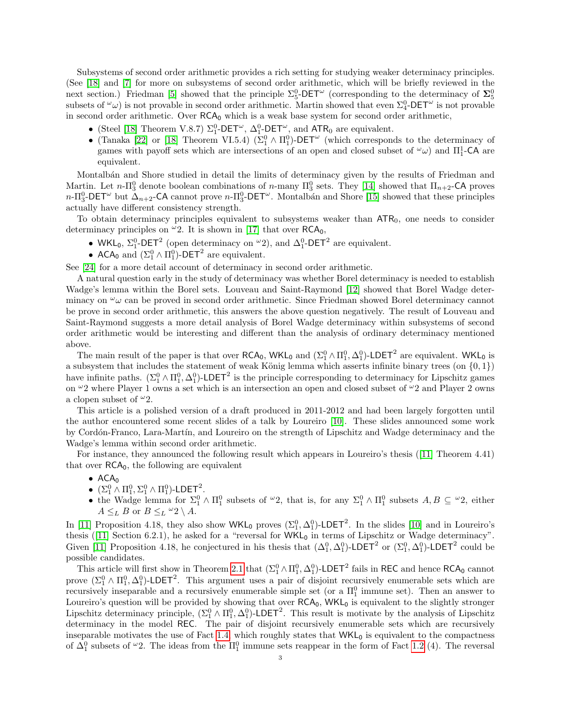Subsystems of second order arithmetic provides a rich setting for studying weaker determinacy principles. (See [\[18\]](#page-15-5) and [\[7\]](#page-14-5) for more on subsystems of second order arithmetic, which will be briefly reviewed in the next section.) Friedman [\[5\]](#page-14-6) showed that the principle  $\Sigma_5^0$ -DET<sup>ω</sup> (corresponding to the determinacy of  $\Sigma_5^0$ subsets of  $\omega$ ) is not provable in second order arithmetic. Martin showed that even  $\Sigma_4^0$ -DET<sup> $\omega$ </sup> is not provable in second order arithmetic. Over  $RCA_0$  which is a weak base system for second order arithmetic,

- (Steel [\[18\]](#page-15-5) Theorem V.8.7)  $\Sigma_1^0$ -DET<sup> $\omega$ </sup>,  $\Delta_1^0$ -DET<sup> $\omega$ </sup>, and ATR<sub>0</sub> are equivalent.
- (Tanaka [\[22\]](#page-15-6) or [\[18\]](#page-15-5) Theorem VI.5.4) ( $\Sigma_1^0 \wedge \Pi_1^0$ )-DET<sup>ω</sup> (which corresponds to the determinacy of games with payoff sets which are intersections of an open and closed subset of  $\omega$ ) and  $\Pi_1^1$ -CA are equivalent.

Montalb´an and Shore studied in detail the limits of determinacy given by the results of Friedman and Martin. Let  $n-\Pi_3^0$  denote boolean combinations of  $n$ -many  $\Pi_3^0$  sets. They [\[14\]](#page-15-7) showed that  $\Pi_{n+2}$ -CA proves  $n-\Pi_3^0$ -DET<sup>ω</sup> but  $\Delta_{n+2}$ -CA cannot prove  $n-\Pi_3^0$ -DET<sup>ω</sup>. Montalbán and Shore [\[15\]](#page-15-8) showed that these principles actually have different consistency strength.

To obtain determinacy principles equivalent to subsystems weaker than  $ATR<sub>0</sub>$ , one needs to consider determinacy principles on  $\omega$ 2. It is shown in [\[17\]](#page-15-9) that over RCA<sub>0</sub>,

- WKL<sub>0</sub>,  $\Sigma_1^0$ -DET<sup>2</sup> (open determinacy on  $\omega_2$ ), and  $\Delta_1^0$ -DET<sup>2</sup> are equivalent.
- ACA<sub>0</sub> and  $(\Sigma_1^0 \wedge \Pi_1^0)$ -DET<sup>2</sup> are equivalent.

See [\[24\]](#page-15-10) for a more detail account of determinacy in second order arithmetic.

A natural question early in the study of determinacy was whether Borel determinacy is needed to establish Wadge's lemma within the Borel sets. Louveau and Saint-Raymond [\[12\]](#page-14-7) showed that Borel Wadge determinacy on  $\omega_{\omega}$  can be proved in second order arithmetic. Since Friedman showed Borel determinacy cannot be prove in second order arithmetic, this answers the above question negatively. The result of Louveau and Saint-Raymond suggests a more detail analysis of Borel Wadge determinacy within subsystems of second order arithmetic would be interesting and different than the analysis of ordinary determinacy mentioned above.

The main result of the paper is that over  $RCA_0$ ,  $WKL_0$  and  $(\Sigma_1^0 \wedge \Pi_1^0, \Delta_1^0)$ -LDET<sup>2</sup> are equivalent.  $WKL_0$  is a subsystem that includes the statement of weak König lemma which asserts infinite binary trees (on  $\{0, 1\}$ ) have infinite paths.  $(\Sigma_1^0 \wedge \Pi_1^0, \Delta_1^0)$ -LDET<sup>2</sup> is the principle corresponding to determinacy for Lipschitz games on  $\omega_2$  where Player 1 owns a set which is an intersection an open and closed subset of  $\omega_2$  and Player 2 owns a clopen subset of  $^{\omega}2$ .

This article is a polished version of a draft produced in 2011-2012 and had been largely forgotten until the author encountered some recent slides of a talk by Loureiro [\[10\]](#page-14-8). These slides announced some work by Cord´on-Franco, Lara-Mart´ın, and Loureiro on the strength of Lipschitz and Wadge determinacy and the Wadge's lemma within second order arithmetic.

For instance, they announced the following result which appears in Loureiro's thesis([\[11\]](#page-14-9) Theorem 4.41) that over  $RCA<sub>0</sub>$ , the following are equivalent

- $ACA<sub>0</sub>$
- $(\Sigma_1^0 \wedge \Pi_1^0, \Sigma_1^0 \wedge \Pi_1^0)$ -LDET<sup>2</sup>.
- the Wadge lemma for  $\Sigma_1^0 \wedge \Pi_1^0$  subsets of  $\omega_2$ , that is, for any  $\Sigma_1^0 \wedge \Pi_1^0$  subsets  $A, B \subseteq \omega_2$ , either  $A \leq_L B$  or  $B \leq_L \omega_2 \setminus A$ .

In [\[11\]](#page-14-9) Proposition 4.18, they also show  $WKL_0$  proves  $(\Sigma_1^0, \Delta_1^0)$ -LDET<sup>2</sup>. In the slides [\[10\]](#page-14-8) and in Loureiro's thesis([\[11\]](#page-14-9) Section 6.2.1), he asked for a "reversal for  $WKL_0$  in terms of Lipschitz or Wadge determinacy". Given [\[11\]](#page-14-9) Proposition 4.18, he conjectured in his thesis that  $(\Delta_1^0, \Delta_1^0)$ -LDET<sup>2</sup> or  $(\Sigma_1^0, \Delta_1^0)$ -LDET<sup>2</sup> could be possible candidates.

This article will first show in Theorem [2.1](#page-8-0) that  $(\Sigma_1^0 \wedge \Pi_1^0, \Delta_1^0)$ -LDET<sup>2</sup> fails in REC and hence RCA<sub>0</sub> cannot prove  $(\Sigma_1^0 \wedge \Pi_1^0, \Delta_1^0)$ -LDET<sup>2</sup>. This argument uses a pair of disjoint recursively enumerable sets which are recursively inseparable and a recursively enumerable simple set (or a  $\Pi_1^0$  immune set). Then an answer to Loureiro's question will be provided by showing that over  $RCA_0$ ,  $WKL_0$  is equivalent to the slightly stronger Lipschitz determinacy principle,  $(\Sigma^0_1 \wedge \Pi^0_1, \Delta^0_1)$ -LDET<sup>2</sup>. This result is motivate by the analysis of Lipschitz determinacy in the model REC. The pair of disjoint recursively enumerable sets which are recursively inseparable motivates the use of Fact [1.4,](#page-6-0) which roughly states that  $WKL_0$  is equivalent to the compactness of  $\Delta_1^0$  subsets of  $\omega_2$ . The ideas from the  $\Pi_1^0$  immune sets reappear in the form of Fact [1.2](#page-5-0) (4). The reversal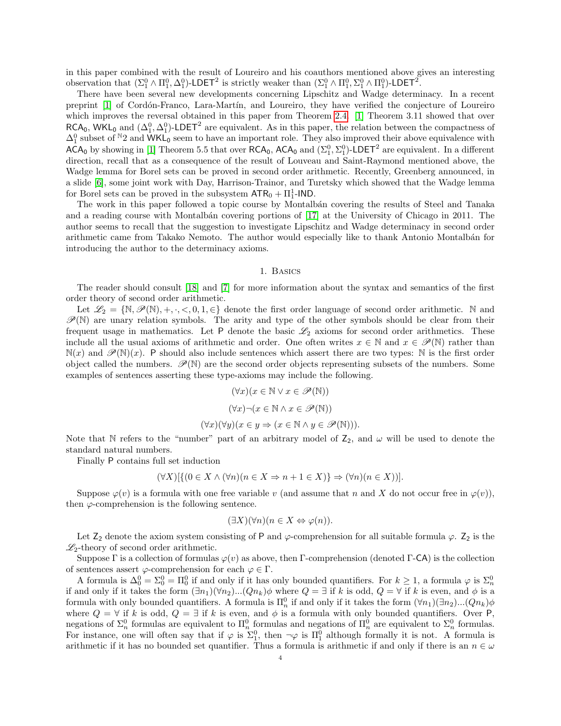in this paper combined with the result of Loureiro and his coauthors mentioned above gives an interesting observation that  $(\Sigma^0_1 \wedge \Pi^0_1, \Delta^0_1)$ -LDET<sup>2</sup> is strictly weaker than  $(\Sigma^0_1 \wedge \Pi^0_1, \Sigma^0_1 \wedge \Pi^0_1)$ -LDET<sup>2</sup>.

There have been several new developments concerning Lipschitz and Wadge determinacy. In a recent preprint [\[1\]](#page-14-10) of Cord´on-Franco, Lara-Mart´ın, and Loureiro, they have verified the conjecture of Loureiro which improves the reversal obtained in this paper from Theorem [2.4.](#page-14-11) [\[1\]](#page-14-10) Theorem 3.11 showed that over  $RCA_0$ , WKL<sub>0</sub> and  $(\Delta_1^0, \Delta_1^0)$ -LDET<sup>2</sup> are equivalent. As in this paper, the relation between the compactness of  $\Delta_1^0$  subset of  $N_2$  and  $\overline{\text{WKL}}_0$  seem to have an important role. They also improved their above equivalence with  $\overline{ACA_0}$  by showing in [\[1\]](#page-14-10) Theorem 5.5 that over  $\overline{RCA_0}$ ,  $\overline{ACA_0}$  and  $(\Sigma_1^0, \Sigma_1^0)$ -LDET<sup>2</sup> are equivalent. In a different direction, recall that as a consequence of the result of Louveau and Saint-Raymond mentioned above, the Wadge lemma for Borel sets can be proved in second order arithmetic. Recently, Greenberg announced, in a slide [\[6\]](#page-14-12), some joint work with Day, Harrison-Trainor, and Turetsky which showed that the Wadge lemma for Borel sets can be proved in the subsystem  $\text{ATR}_0 + \Pi_1^1\text{-IND}$ .

The work in this paper followed a topic course by Montalbán covering the results of Steel and Tanaka and a reading course with Montalbán covering portions of [\[17\]](#page-15-9) at the University of Chicago in 2011. The author seems to recall that the suggestion to investigate Lipschitz and Wadge determinacy in second order arithmetic came from Takako Nemoto. The author would especially like to thank Antonio Montalbán for introducing the author to the determinacy axioms.

### 1. Basics

The reader should consult [\[18\]](#page-15-5) and [\[7\]](#page-14-5) for more information about the syntax and semantics of the first order theory of second order arithmetic.

Let  $\mathscr{L}_2 = \{ \mathbb{N}, \mathscr{P}(\mathbb{N}), +, \cdot, \leq, 0, 1, \in \}$  denote the first order language of second order arithmetic. N and  $\mathscr{P}(\mathbb{N})$  are unary relation symbols. The arity and type of the other symbols should be clear from their frequent usage in mathematics. Let  $P$  denote the basic  $\mathscr{L}_2$  axioms for second order arithmetics. These include all the usual axioms of arithmetic and order. One often writes  $x \in \mathbb{N}$  and  $x \in \mathscr{P}(\mathbb{N})$  rather than  $\mathbb{N}(x)$  and  $\mathscr{P}(\mathbb{N})(x)$ . P should also include sentences which assert there are two types: N is the first order object called the numbers.  $\mathscr{P}(\mathbb{N})$  are the second order objects representing subsets of the numbers. Some examples of sentences asserting these type-axioms may include the following.

$$
(\forall x)(x \in \mathbb{N} \lor x \in \mathscr{P}(\mathbb{N}))
$$

$$
(\forall x)\neg(x \in \mathbb{N} \land x \in \mathscr{P}(\mathbb{N}))
$$

$$
(\forall x)(\forall y)(x \in y \Rightarrow (x \in \mathbb{N} \land y \in \mathscr{P}(\mathbb{N}))).
$$

Note that N refers to the "number" part of an arbitrary model of  $Z_2$ , and  $\omega$  will be used to denote the standard natural numbers.

Finally P contains full set induction

$$
(\forall X)[\{(0 \in X \land (\forall n)(n \in X \Rightarrow n+1 \in X)\}\Rightarrow (\forall n)(n \in X))].
$$

Suppose  $\varphi(v)$  is a formula with one free variable v (and assume that n and X do not occur free in  $\varphi(v)$ ), then  $\varphi$ -comprehension is the following sentence.

$$
(\exists X)(\forall n)(n \in X \Leftrightarrow \varphi(n)).
$$

Let  $Z_2$  denote the axiom system consisting of P and  $\varphi$ -comprehension for all suitable formula  $\varphi$ .  $Z_2$  is the  $\mathscr{L}_2$ -theory of second order arithmetic.

Suppose Γ is a collection of formulas  $\varphi(v)$  as above, then Γ-comprehension (denoted Γ-CA) is the collection of sentences assert  $\varphi$ -comprehension for each  $\varphi \in \Gamma$ .

A formula is  $\Delta_0^0 = \Sigma_0^0 = \Pi_0^0$  if and only if it has only bounded quantifiers. For  $k \ge 1$ , a formula  $\varphi$  is  $\Sigma_n^0$ if and only if it takes the form  $(\exists n_1)(\forall n_2)...(Qn_k)\phi$  where  $Q = \exists$  if k is odd,  $Q = \forall$  if k is even, and  $\phi$  is a formula with only bounded quantifiers. A formula is  $\Pi_n^0$  if and only if it takes the form  $(\forall n_1)(\exists n_2)...(Qn_k)\phi$ where  $Q = \forall$  if k is odd,  $Q = \exists$  if k is even, and  $\phi$  is a formula with only bounded quantifiers. Over P, negations of  $\Sigma_n^0$  formulas are equivalent to  $\Pi_n^0$  formulas and negations of  $\Pi_n^0$  are equivalent to  $\Sigma_n^0$  formulas. For instance, one will often say that if  $\varphi$  is  $\Sigma_1^0$ , then  $\neg \varphi$  is  $\Pi_1^0$  although formally it is not. A formula is arithmetic if it has no bounded set quantifier. Thus a formula is arithmetic if and only if there is an  $n \in \omega$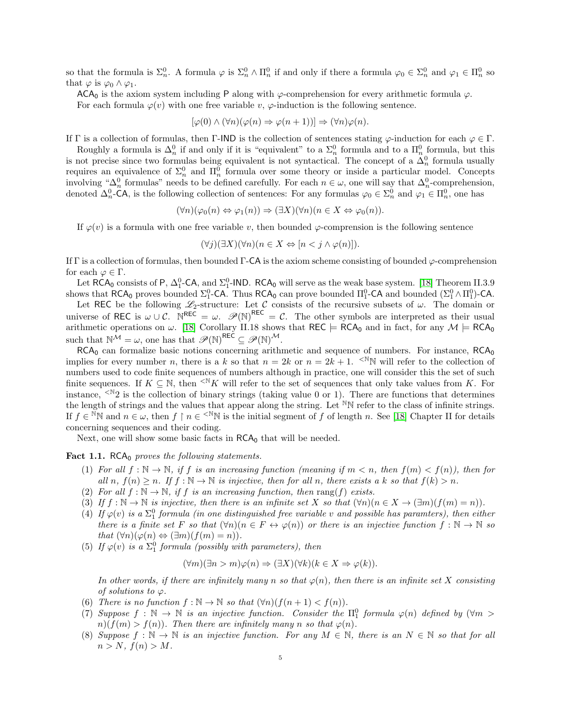so that the formula is  $\Sigma_n^0$ . A formula  $\varphi$  is  $\Sigma_n^0 \wedge \Pi_n^0$  if and only if there a formula  $\varphi_0 \in \Sigma_n^0$  and  $\varphi_1 \in \Pi_n^0$  so that  $\varphi$  is  $\varphi_0 \wedge \varphi_1$ .

ACA<sub>0</sub> is the axiom system including P along with  $\varphi$ -comprehension for every arithmetic formula  $\varphi$ .

For each formula  $\varphi(v)$  with one free variable v,  $\varphi$ -induction is the following sentence.

$$
[\varphi(0) \land (\forall n)(\varphi(n) \Rightarrow \varphi(n+1))] \Rightarrow (\forall n)\varphi(n).
$$

If Γ is a collection of formulas, then Γ-IND is the collection of sentences stating  $\varphi$ -induction for each  $\varphi \in \Gamma$ .

Roughly a formula is  $\Delta_n^0$  if and only if it is "equivalent" to a  $\Sigma_n^0$  formula and to a  $\Pi_n^0$  formula, but this is not precise since two formulas being equivalent is not syntactical. The concept of a  $\Delta_n^0$  formula usually requires an equivalence of  $\Sigma_n^0$  and  $\Pi_n^0$  formula over some theory or inside a particular model. Concepts involving " $\Delta_n^0$  formulas" needs to be defined carefully. For each  $n \in \omega$ , one will say that  $\Delta_n^0$ -comprehension, denoted  $\Delta_n^0$ -CA, is the following collection of sentences: For any formulas  $\varphi_0 \in \Sigma_n^0$  and  $\varphi_1 \in \Pi_n^0$ , one has

$$
(\forall n)(\varphi_0(n) \Leftrightarrow \varphi_1(n)) \Rightarrow (\exists X)(\forall n)(n \in X \Leftrightarrow \varphi_0(n)).
$$

If  $\varphi(v)$  is a formula with one free variable v, then bounded  $\varphi$ -comprension is the following sentence

$$
(\forall j)(\exists X)(\forall n)(n \in X \Leftrightarrow [n < j \land \varphi(n)]\text{)}.
$$

If  $\Gamma$  is a collection of formulas, then bounded  $\Gamma$ -CA is the axiom scheme consisting of bounded  $\varphi$ -comprehension for each  $\varphi \in \Gamma$ .

Let  $RCA_0$  consists of P,  $\Delta_1^0$ -CA, and  $\Sigma_1^0$ -IND.  $RCA_0$  will serve as the weak base system. [\[18\]](#page-15-5) Theorem II.3.9 shows that  $RCA_0$  proves bounded  $\Sigma_1^0$ -CA. Thus  $RCA_0$  can prove bounded  $\Pi_1^0$ -CA and bounded  $(\Sigma_1^0 \wedge \Pi_1^0)$ -CA.

Let REC be the following  $\mathscr{L}_2$ -structure: Let C consists of the recursive subsets of  $\omega$ . The domain or universe of REC is  $\omega \cup \mathcal{C}$ .  $\mathbb{R}^{\text{REC}} = \omega$ .  $\mathscr{P}(\mathbb{N})^{\text{REC}} = \mathcal{C}$ . The other symbols are interpreted as their usual arithmetic operations on  $\omega$ . [\[18\]](#page-15-5) Corollary II.18 shows that REC  $\models RCA_0$  and in fact, for any  $\mathcal{M} \models RCA_0$ such that  $\mathbb{N}^{\mathcal{M}} = \omega$ , one has that  $\mathscr{P}(\mathbb{N})^{\mathsf{REC}} \subseteq \mathscr{P}(\mathbb{N})^{\mathcal{M}}$ .

 $RCA<sub>0</sub>$  can formalize basic notions concerning arithmetic and sequence of numbers. For instance,  $RCA<sub>0</sub>$ implies for every number n, there is a k so that  $n = 2k$  or  $n = 2k + 1$ . <sup>N</sup>N will refer to the collection of numbers used to code finite sequences of numbers although in practice, one will consider this the set of such finite sequences. If  $K \subseteq \mathbb{N}$ , then <sup><N</sup>K will refer to the set of sequences that only take values from K. For instance,  $\leq N_2$  is the collection of binary strings (taking value 0 or 1). There are functions that determines the length of strings and the values that appear along the string. Let  $^{\mathbb{N}}\mathbb{N}$  refer to the class of infinite strings. If  $f \in N^{\mathbb{N}}$  and  $n \in \omega$ , then  $f \restriction n \in \leq N^{\mathbb{N}}$  is the initial segment of f of length n. See [\[18\]](#page-15-5) Chapter II for details concerning sequences and their coding.

Next, one will show some basic facts in  $RCA_0$  that will be needed.

### <span id="page-4-0"></span>**Fact 1.1.** RCA<sub>0</sub> proves the following statements.

- (1) For all  $f : \mathbb{N} \to \mathbb{N}$ , if f is an increasing function (meaning if  $m < n$ , then  $f(m) < f(n)$ ), then for all n,  $f(n) \ge n$ . If  $f : \mathbb{N} \to \mathbb{N}$  is injective, then for all n, there exists a k so that  $f(k) > n$ .
- (2) For all  $f : \mathbb{N} \to \mathbb{N}$ , if f is an increasing function, then rang(f) exists.
- (3) If  $f : \mathbb{N} \to \mathbb{N}$  is injective, then there is an infinite set X so that  $(\forall n)(n \in X \to (\exists m)(f(m) = n)).$
- (4) If  $\varphi(v)$  is a  $\Sigma_1^0$  formula (in one distinguished free variable v and possible has paramters), then either there is a finite set F so that  $(\forall n)(n \in F \leftrightarrow \varphi(n))$  or there is an injective function  $f : \mathbb{N} \to \mathbb{N}$  so that  $(\forall n)(\varphi(n) \Leftrightarrow (\exists m)(f(m) = n)).$
- (5) If  $\varphi(v)$  is a  $\Sigma_1^0$  formula (possibly with parameters), then

$$
(\forall m)(\exists n > m)\varphi(n) \Rightarrow (\exists X)(\forall k)(k \in X \Rightarrow \varphi(k)).
$$

In other words, if there are infinitely many n so that  $\varphi(n)$ , then there is an infinite set X consisting of solutions to  $\varphi$ .

- (6) There is no function  $f : \mathbb{N} \to \mathbb{N}$  so that  $(\forall n)(f(n+1) < f(n)).$
- (7) Suppose  $f : \mathbb{N} \to \mathbb{N}$  is an injective function. Consider the  $\Pi_1^0$  formula  $\varphi(n)$  defined by  $(\forall m >$  $n(f(m) > f(n))$ . Then there are infinitely many n so that  $\varphi(n)$ .
- (8) Suppose  $f : \mathbb{N} \to \mathbb{N}$  is an injective function. For any  $M \in \mathbb{N}$ , there is an  $N \in \mathbb{N}$  so that for all  $n > N$ ,  $f(n) > M$ .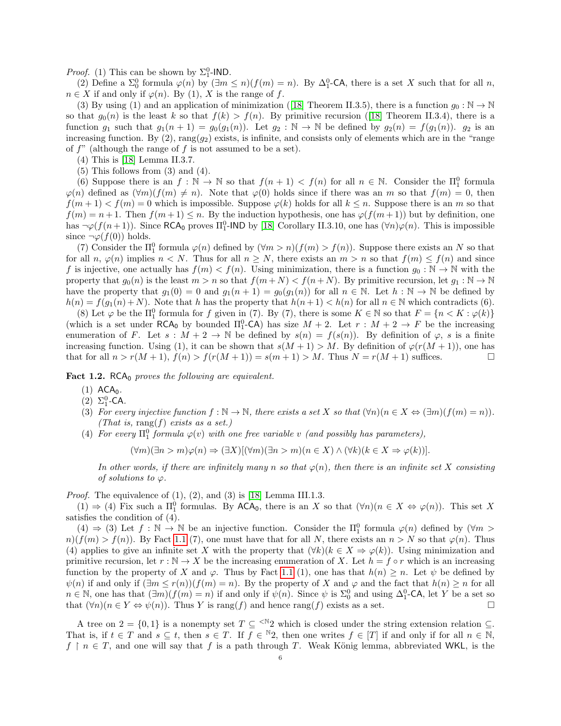*Proof.* (1) This can be shown by  $\Sigma_1^0$ -IND.

(2) Define a  $\Sigma_0^0$  formula  $\varphi(n)$  by  $(\exists m \le n)(f(m) = n)$ . By  $\Delta_1^0$ -CA, there is a set X such that for all n,  $n \in X$  if and only if  $\varphi(n)$ . By (1), X is the range of f.

(3) By using (1) and an application of minimization ([\[18\]](#page-15-5) Theorem II.3.5), there is a function  $g_0 : \mathbb{N} \to \mathbb{N}$ sothat  $g_0(n)$  is the least k so that  $f(k) > f(n)$ . By primitive recursion ([\[18\]](#page-15-5) Theorem II.3.4), there is a function  $g_1$  such that  $g_1(n+1) = g_0(g_1(n))$ . Let  $g_2 : \mathbb{N} \to \mathbb{N}$  be defined by  $g_2(n) = f(g_1(n))$ .  $g_2$  is an increasing function. By  $(2)$ , rang $(g_2)$  exists, is infinite, and consists only of elements which are in the "range" of  $f''$  (although the range of  $f$  is not assumed to be a set).

- (4) This is [\[18\]](#page-15-5) Lemma II.3.7.
- $(5)$  This follows from  $(3)$  and  $(4)$ .

(6) Suppose there is an  $f : \mathbb{N} \to \mathbb{N}$  so that  $f(n+1) < f(n)$  for all  $n \in \mathbb{N}$ . Consider the  $\Pi_1^0$  formula  $\varphi(n)$  defined as  $(\forall m)(f(m) \neq n)$ . Note that  $\varphi(0)$  holds since if there was an m so that  $f(m) = 0$ , then  $f(m+1) < f(m) = 0$  which is impossible. Suppose  $\varphi(k)$  holds for all  $k \leq n$ . Suppose there is an m so that  $f(m) = n + 1$ . Then  $f(m+1) \leq n$ . By the induction hypothesis, one has  $\varphi(f(m+1))$  but by definition, one has  $\neg\varphi(f(n+1))$ . Since RCA<sub>0</sub> proves  $\Pi_1^0$ -IND by [\[18\]](#page-15-5) Corollary II.3.10, one has  $(\forall n)\varphi(n)$ . This is impossible since  $\neg \varphi(f(0))$  holds.

(7) Consider the  $\Pi_1^0$  formula  $\varphi(n)$  defined by  $(\forall m > n)(f(m) > f(n))$ . Suppose there exists an N so that for all n,  $\varphi(n)$  implies  $n \leq N$ . Thus for all  $n \geq N$ , there exists an  $m > n$  so that  $f(m) \leq f(n)$  and since f is injective, one actually has  $f(m) < f(n)$ . Using minimization, there is a function  $g_0 : \mathbb{N} \to \mathbb{N}$  with the property that  $g_0(n)$  is the least  $m > n$  so that  $f(m+N) < f(n+N)$ . By primitive recursion, let  $g_1 : \mathbb{N} \to \mathbb{N}$ have the property that  $g_1(0) = 0$  and  $g_1(n+1) = g_0(g_1(n))$  for all  $n \in \mathbb{N}$ . Let  $h : \mathbb{N} \to \mathbb{N}$  be defined by  $h(n) = f(g_1(n) + N)$ . Note that h has the property that  $h(n + 1) < h(n)$  for all  $n \in \mathbb{N}$  which contradicts (6).

(8) Let  $\varphi$  be the  $\Pi_1^0$  formula for f given in (7). By (7), there is some  $K \in \mathbb{N}$  so that  $F = \{n < K : \varphi(k)\}$ (which is a set under  $RCA_0$  by bounded  $\Pi_1^0$ -CA) has size  $M + 2$ . Let  $r : M + 2 \rightarrow F$  be the increasing enumeration of F. Let  $s : M + 2 \to \mathbb{N}$  be defined by  $s(n) = f(s(n))$ . By definition of  $\varphi$ , s is a finite increasing function. Using (1), it can be shown that  $s(M + 1) > M$ . By definition of  $\varphi(r(M + 1))$ , one has that for all  $n > r(M + 1)$ ,  $f(n) > f(r(M + 1)) = s(m + 1) > M$ . Thus  $N = r(M + 1)$  suffices.

<span id="page-5-0"></span>**Fact 1.2.** RCA $_0$  proves the following are equivalent.

- $(1)$  ACA<sub>0</sub>.
- (2)  $\Sigma_1^0$ -CA.
- (3) For every injective function  $f : \mathbb{N} \to \mathbb{N}$ , there exists a set X so that  $(\forall n)(n \in X \Leftrightarrow (\exists m)(f(m) = n))$ . (That is, rang(f) exists as a set.)
- (4) For every  $\Pi_1^0$  formula  $\varphi(v)$  with one free variable v (and possibly has parameters),

 $(\forall m)(\exists n > m)\varphi(n) \Rightarrow (\exists X)[(\forall m)(\exists n > m)(n \in X) \wedge (\forall k)(k \in X \Rightarrow \varphi(k))].$ 

In other words, if there are infinitely many n so that  $\varphi(n)$ , then there is an infinite set X consisting of solutions to  $\varphi$ .

*Proof.* The equivalence of  $(1)$ ,  $(2)$ , and  $(3)$  is [\[18\]](#page-15-5) Lemma III.1.3.

 $(1) \Rightarrow (4)$  Fix such a  $\Pi_1^0$  formulas. By ACA<sub>0</sub>, there is an X so that  $(\forall n)(n \in X \Leftrightarrow \varphi(n))$ . This set X satisfies the condition of (4).

(4)  $\Rightarrow$  (3) Let  $f : \mathbb{N} \to \mathbb{N}$  be an injective function. Consider the  $\Pi_1^0$  formula  $\varphi(n)$  defined by  $(\forall m >$  $n(f(m) > f(n))$ . By Fact [1.1](#page-4-0) (7), one must have that for all N, there exists an  $n > N$  so that  $\varphi(n)$ . Thus (4) applies to give an infinite set X with the property that  $(\forall k)(k \in X \Rightarrow \varphi(k))$ . Using minimization and primitive recursion, let  $r : \mathbb{N} \to X$  be the increasing enumeration of X. Let  $h = f \circ r$  which is an increasing function by the property of X and  $\varphi$ . Thus by Fact [1.1](#page-4-0) (1), one has that  $h(n) \geq n$ . Let  $\psi$  be defined by  $\psi(n)$  if and only if  $(\exists m \leq r(n))(f(m) = n)$ . By the property of X and  $\varphi$  and the fact that  $h(n) \geq n$  for all  $n \in \mathbb{N}$ , one has that  $(\exists m)(f(m) = n)$  if and only if  $\psi(n)$ . Since  $\psi$  is  $\Sigma_0^0$  and using  $\Delta_1^0$ -CA, let Y be a set so that  $(\forall n)(n \in Y \Leftrightarrow \psi(n))$ . Thus Y is rang(f) and hence rang(f) exists as a set.

A tree on  $2 = \{0,1\}$  is a nonempty set  $T \subseteq \{N\}$  which is closed under the string extension relation  $\subseteq$ . That is, if  $t \in T$  and  $s \subseteq t$ , then  $s \in T$ . If  $f \in {}^{\mathbb{N}}2$ , then one writes  $f \in [T]$  if and only if for all  $n \in \mathbb{N}$ ,  $f \restriction n \in T$ , and one will say that f is a path through T. Weak König lemma, abbreviated WKL, is the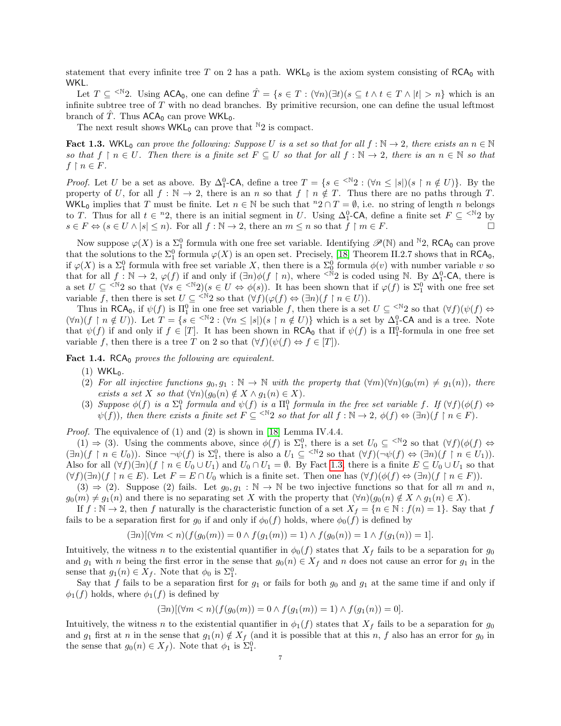statement that every infinite tree T on 2 has a path. WKL<sub>0</sub> is the axiom system consisting of RCA<sub>0</sub> with WKL.

Let  $T \subseteq \leq^{\mathbb{N}} 2$ . Using ACA<sub>0</sub>, one can define  $\hat{T} = \{s \in T : (\forall n)(\exists t)(s \subseteq t \land t \in T \land |t| > n\}$  which is an infinite subtree tree of  $T$  with no dead branches. By primitive recursion, one can define the usual leftmost branch of  $\hat{T}$ . Thus  $ACA_0$  can prove WKL<sub>0</sub>.

The next result shows  $WKL_0$  can prove that <sup>N</sup>2 is compact.

<span id="page-6-1"></span>**Fact 1.3.** WKL<sub>0</sub> can prove the following: Suppose U is a set so that for all  $f : \mathbb{N} \to 2$ , there exists an  $n \in \mathbb{N}$ so that  $f \restriction n \in U$ . Then there is a finite set  $F \subseteq U$  so that for all  $f : \mathbb{N} \to 2$ , there is an  $n \in \mathbb{N}$  so that  $f \restriction n \in F$ .

*Proof.* Let U be a set as above. By  $\Delta_1^0$ -CA, define a tree  $T = \{s \in \{s \in \mathbb{N} \mid 2 : (\forall n \leq |s|)(s \restriction n \notin U)\}\$ . By the property of U, for all  $f : \mathbb{N} \to 2$ , there is an n so that  $f \restriction n \notin T$ . Thus there are no paths through T. WKL<sub>0</sub> implies that T must be finite. Let  $n \in \mathbb{N}$  be such that  ${}^n2 \cap T = \emptyset$ , i.e. no string of length n belongs to T. Thus for all  $t \in {}^{n}2$ , there is an initial segment in U. Using  $\Delta_1^0$ -CA, define a finite set  $F \subseteq {}^{&\mathbb{N}}2$  by  $s \in F \Leftrightarrow (s \in U \wedge |s| \leq n)$ . For all  $f : \mathbb{N} \to 2$ , there an  $m \leq n$  so that  $f \upharpoonright m \in F$ .

Now suppose  $\varphi(X)$  is a  $\Sigma_1^0$  formula with one free set variable. Identifying  $\mathscr{P}(\mathbb{N})$  and  $\mathbb{N}_2$ , RCA<sub>0</sub> can prove that the solutions to the  $\Sigma_1^0$  formula  $\varphi(X)$  is an open set. Precisely, [\[18\]](#page-15-5) Theorem II.2.7 shows that in RCA<sub>0</sub>, if  $\varphi(X)$  is a  $\Sigma_1^0$  formula with free set variable X, then there is a  $\Sigma_0^0$  formula  $\phi(v)$  with number variable v so that for all  $f: \mathbb{N} \to 2$ ,  $\varphi(f)$  if and only if  $(\exists n)\phi(f \upharpoonright n)$ , where  $\leq \mathbb{N}2$  is coded using N. By  $\Delta_1^0$ -CA, there is a set  $U \subseteq \leq N_2$  so that  $(\forall s \in \leq N_2)(s \in U \Leftrightarrow \phi(s))$ . It has been shown that if  $\varphi(f)$  is  $\Sigma_1^0$  with one free set variable f, then there is set  $U \subseteq \langle N^2 \rangle$  so that  $(\forall f)(\varphi(f) \Leftrightarrow (\exists n)(f \upharpoonright n \in U)).$ 

Thus in RCA<sub>0</sub>, if  $\psi(f)$  is  $\Pi_1^0$  in one free set variable f, then there is a set  $U \subseteq \{N^2\}$  so that  $(\forall f)(\psi(f) \Leftrightarrow$  $(\forall n)(f \restriction n \notin U)$ ). Let  $T = \{s \in \{ \forall n \leq |s| | (s \restriction n \notin U) \}$  which is a set by  $\Delta_1^0$ -CA and is a tree. Note that  $\psi(f)$  if and only if  $f \in [T]$ . It has been shown in RCA<sub>0</sub> that if  $\psi(f)$  is a  $\Pi_1^0$ -formula in one free set variable f, then there is a tree T on 2 so that  $(\forall f)(\psi(f) \Leftrightarrow f \in [T])$ .

<span id="page-6-0"></span>**Fact 1.4.** RCA $_0$  proves the following are equivalent.

- $(1)$  WKL<sub>0</sub>.
- (2) For all injective functions  $g_0, g_1 : \mathbb{N} \to \mathbb{N}$  with the property that  $(\forall m)(\forall n)(g_0(m) \neq g_1(n))$ , there exists a set X so that  $(\forall n)(g_0(n) \notin X \land g_1(n) \in X)$ .
- (3) Suppose  $\phi(f)$  is a  $\Sigma_1^0$  formula and  $\psi(f)$  is a  $\Pi_1^0$  formula in the free set variable f. If  $(\forall f)(\phi(f) \Leftrightarrow$  $\psi(f)$ , then there exists a finite set  $F \subseteq \langle N_2 \rangle$  so that for all  $f : N \to 2$ ,  $\phi(f) \Leftrightarrow (\exists n)(f \upharpoonright n \in F)$ .

Proof. The equivalence of (1) and (2) is shown in [\[18\]](#page-15-5) Lemma IV.4.4.

 $(1) \Rightarrow (3)$ . Using the comments above, since  $\phi(f)$  is  $\Sigma_1^0$ , there is a set  $U_0 \subseteq \{N^2\}$  so that  $(\forall f)(\phi(f) \Leftrightarrow$  $(\exists n)(f \upharpoonright n \in U_0)$ ). Since  $\neg \psi(f)$  is  $\Sigma_1^0$ , there is also a  $U_1 \subseteq \langle N_2 \rangle$  so that  $(\forall f)(\neg \psi(f) \Leftrightarrow (\exists n)(f \upharpoonright n \in U_1))$ . Also for all  $(\forall f)(\exists n)(f \upharpoonright n \in U_0 \cup U_1)$  and  $U_0 \cap U_1 = \emptyset$ . By Fact [1.3,](#page-6-1) there is a finite  $E \subseteq U_0 \cup U_1$  so that  $(\forall f)(\exists n)(f \upharpoonright n \in E)$ . Let  $F = E \cap U_0$  which is a finite set. Then one has  $(\forall f)(\phi(f) \Leftrightarrow (\exists n)(f \upharpoonright n \in F))$ .

 $(3) \Rightarrow (2)$ . Suppose (2) fails. Let  $g_0, g_1 : \mathbb{N} \to \mathbb{N}$  be two injective functions so that for all m and n,  $g_0(m) \neq g_1(n)$  and there is no separating set X with the property that  $(\forall n)(g_0(n) \notin X \wedge g_1(n) \in X)$ .

If  $f : \mathbb{N} \to 2$ , then f naturally is the characteristic function of a set  $X_f = \{n \in \mathbb{N} : f(n) = 1\}$ . Say that f fails to be a separation first for  $g_0$  if and only if  $\phi_0(f)$  holds, where  $\phi_0(f)$  is defined by

$$
(\exists n)[(\forall m < n)(f(g_0(m)) = 0 \land f(g_1(m)) = 1) \land f(g_0(n)) = 1 \land f(g_1(n)) = 1].
$$

Intuitively, the witness n to the existential quantifier in  $\phi_0(f)$  states that  $X_f$  fails to be a separation for  $g_0$ and  $g_1$  with n being the first error in the sense that  $g_0(n) \in X_f$  and n does not cause an error for  $g_1$  in the sense that  $g_1(n) \in X_f$ . Note that  $\phi_0$  is  $\Sigma_1^0$ .

Say that f fails to be a separation first for  $g_1$  or fails for both  $g_0$  and  $g_1$  at the same time if and only if  $\phi_1(f)$  holds, where  $\phi_1(f)$  is defined by

$$
(\exists n)[(\forall m < n)(f(g_0(m))) = 0 \land f(g_1(m)) = 1) \land f(g_1(n)) = 0].
$$

Intuitively, the witness n to the existential quantifier in  $\phi_1(f)$  states that  $X_f$  fails to be a separation for  $g_0$ and  $g_1$  first at n in the sense that  $g_1(n) \notin X_f$  (and it is possible that at this n, f also has an error for  $g_0$  in the sense that  $g_0(n) \in X_f$ ). Note that  $\phi_1$  is  $\Sigma_1^0$ .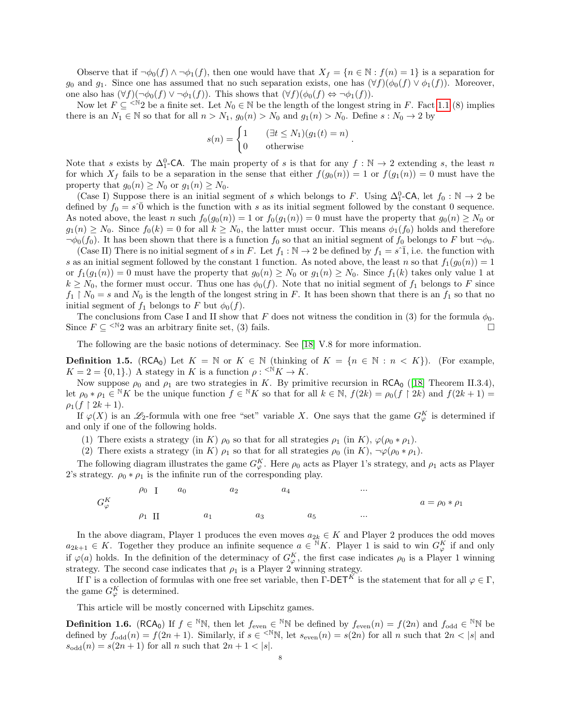Observe that if  $\neg \phi_0(f) \wedge \neg \phi_1(f)$ , then one would have that  $X_f = \{n \in \mathbb{N} : f(n) = 1\}$  is a separation for g<sub>0</sub> and g<sub>1</sub>. Since one has assumed that no such separation exists, one has  $(\forall f)(\phi_0(f) \vee \phi_1(f))$ . Moreover, one also has  $(\forall f)(\neg \phi_0(f) \vee \neg \phi_1(f))$ . This shows that  $(\forall f)(\phi_0(f) \Leftrightarrow \neg \phi_1(f))$ .

Now let  $F \subseteq \{N\}$  be a finite set. Let  $N_0 \in \mathbb{N}$  be the length of the longest string in F. Fact [1.1](#page-4-0) (8) implies there is an  $N_1 \in \mathbb{N}$  so that for all  $n > N_1$ ,  $g_0(n) > N_0$  and  $g_1(n) > N_0$ . Define  $s : N_0 \to 2$  by

$$
s(n) = \begin{cases} 1 & (\exists t \le N_1)(g_1(t) = n) \\ 0 & \text{otherwise} \end{cases}.
$$

Note that s exists by  $\Delta_1^0$ -CA. The main property of s is that for any  $f : \mathbb{N} \to 2$  extending s, the least n for which  $X_f$  fails to be a separation in the sense that either  $f(g_0(n)) = 1$  or  $f(g_1(n)) = 0$  must have the property that  $g_0(n) \geq N_0$  or  $g_1(n) \geq N_0$ .

(Case I) Suppose there is an initial segment of s which belongs to F. Using  $\Delta_1^0$ -CA, let  $f_0 : \mathbb{N} \to 2$  be defined by  $f_0 = s^{\circ}0$  which is the function with s as its initial segment followed by the constant 0 sequence. As noted above, the least n such  $f_0(g_0(n)) = 1$  or  $f_0(g_1(n)) = 0$  must have the property that  $g_0(n) \geq N_0$  or  $g_1(n) \geq N_0$ . Since  $f_0(k) = 0$  for all  $k \geq N_0$ , the latter must occur. This means  $\phi_1(f_0)$  holds and therefore  $\neg \phi_0(f_0)$ . It has been shown that there is a function  $f_0$  so that an initial segment of  $f_0$  belongs to F but  $\neg \phi_0$ .

(Case II) There is no initial segment of s in F. Let  $f_1 : \mathbb{N} \to 2$  be defined by  $f_1 = s^{\hat{}}}$ , i.e. the function with s as an initial segment followed by the constant 1 function. As noted above, the least n so that  $f_1(g_0(n)) = 1$ or  $f_1(g_1(n)) = 0$  must have the property that  $g_0(n) \ge N_0$  or  $g_1(n) \ge N_0$ . Since  $f_1(k)$  takes only value 1 at  $k \geq N_0$ , the former must occur. Thus one has  $\phi_0(f)$ . Note that no initial segment of  $f_1$  belongs to F since  $f_1 \restriction N_0 = s$  and  $N_0$  is the length of the longest string in F. It has been shown that there is an  $f_1$  so that no initial segment of  $f_1$  belongs to F but  $\phi_0(f)$ .

The conclusions from Case I and II show that F does not witness the condition in (3) for the formula  $\phi_0$ . Since  $F \subseteq \leq^{\mathbb{N}}2$  was an arbitrary finite set, (3) fails.

The following are the basic notions of determinacy. See [\[18\]](#page-15-5) V.8 for more information.

**Definition 1.5.** (RCA<sub>0</sub>) Let  $K = \mathbb{N}$  or  $K \in \mathbb{N}$  (thinking of  $K = \{n \in \mathbb{N} : n < K\}$ ). (For example,  $K = 2 = \{0, 1\}$ .) A stategy in K is a function  $\rho : \langle N \rangle K \to K$ .

Now suppose  $\rho_0$  and  $\rho_1$  are two strategies in K. By primitive recursion in RCA<sub>0</sub> ([\[18\]](#page-15-5) Theorem II.3.4), let  $\rho_0 * \rho_1 \in {}^{\mathbb{N}} K$  be the unique function  $f \in {}^{\mathbb{N}} K$  so that for all  $k \in \mathbb{N}$ ,  $f(2k) = \rho_0(f \mid 2k)$  and  $f(2k+1) =$  $\rho_1(f \upharpoonright 2k+1).$ 

If  $\varphi(X)$  is an  $\mathscr{L}_2$ -formula with one free "set" variable X. One says that the game  $G_{\varphi}^K$  is determined if and only if one of the following holds.

(1) There exists a strategy (in K)  $\rho_0$  so that for all strategies  $\rho_1$  (in K),  $\varphi(\rho_0 * \rho_1)$ .

(2) There exists a strategy (in K)  $\rho_1$  so that for all strategies  $\rho_0$  (in K),  $\neg \varphi(\rho_0 * \rho_1)$ .

The following diagram illustrates the game  $G_{\varphi}^{K}$ . Here  $\rho_0$  acts as Player 1's strategy, and  $\rho_1$  acts as Player 2's strategy.  $\rho_0 * \rho_1$  is the infinite run of the corresponding play.

$$
G_{\varphi}^{K} \qquad \qquad \rho_{0} \quad I \qquad a_{0} \qquad \qquad a_{2} \qquad \qquad a_{4} \qquad \qquad \dots \qquad \qquad a = \rho_{0} * \rho_{1}
$$
\n
$$
\rho_{1} \quad II \qquad \qquad a_{1} \qquad \qquad a_{3} \qquad \qquad a_{5} \qquad \qquad \dots \qquad \qquad a = \rho_{0} * \rho_{1}
$$

In the above diagram, Player 1 produces the even moves  $a_{2k} \in K$  and Player 2 produces the odd moves  $a_{2k+1} \in K$ . Together they produce an infinite sequence  $a \in \mathbb{N}K$ . Player 1 is said to win  $G_{\varphi}^K$  if and only if  $\varphi(a)$  holds. In the definition of the determinacy of  $G_{\varphi}^K$ , the first case indicates  $\rho_0$  is a Player 1 winning strategy. The second case indicates that  $\rho_1$  is a Player 2 winning strategy.

If Γ is a collection of formulas with one free set variable, then  $\Gamma$ -DET<sup>K</sup> is the statement that for all  $\varphi \in \Gamma$ , the game  $G_{\varphi}^{K}$  is determined.

This article will be mostly concerned with Lipschitz games.

**Definition 1.6.** (RCA<sub>0</sub>) If  $f \in N\mathbb{N}$ , then let  $f_{even} \in N\mathbb{N}$  be defined by  $f_{even}(n) = f(2n)$  and  $f_{odd} \in N\mathbb{N}$  be defined by  $f_{odd}(n) = f(2n + 1)$ . Similarly, if  $s \in \langle N \mathbb{N} \rangle$ , let  $s_{even}(n) = s(2n)$  for all n such that  $2n < |s|$  and  $s_{\text{odd}}(n) = s(2n + 1)$  for all n such that  $2n + 1 < |s|$ .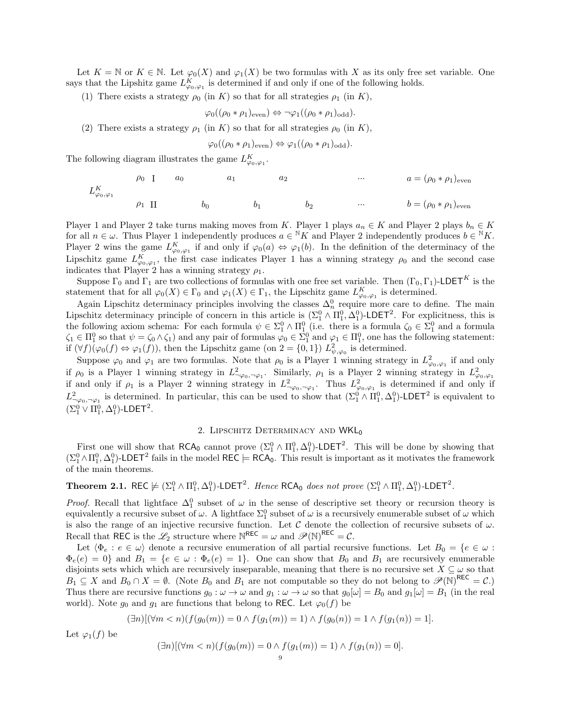Let  $K = \mathbb{N}$  or  $K \in \mathbb{N}$ . Let  $\varphi_0(X)$  and  $\varphi_1(X)$  be two formulas with X as its only free set variable. One says that the Lipshitz game  $L_{\varphi_0,\varphi_1}^K$  is determined if and only if one of the following holds.

(1) There exists a strategy  $\rho_0$  (in K) so that for all strategies  $\rho_1$  (in K),

$$
\varphi_0((\rho_0 * \rho_1)_{\text{even}}) \Leftrightarrow \neg \varphi_1((\rho_0 * \rho_1)_{\text{odd}}).
$$

(2) There exists a strategy  $\rho_1$  (in K) so that for all strategies  $\rho_0$  (in K),

$$
\varphi_0((\rho_0 * \rho_1)_{\text{even}}) \Leftrightarrow \varphi_1((\rho_0 * \rho_1)_{\text{odd}}).
$$

The following diagram illustrates the game  $L_{\varphi_0,\varphi_1}^K$ .

$$
L_{\varphi_0,\varphi_1}^K \qquad \qquad \rho_0 \quad I \qquad a_0 \qquad \qquad a_1 \qquad \qquad a_2 \qquad \qquad \dots \qquad \qquad a = (\rho_0 * \rho_1)_{\text{even}}
$$
\n
$$
L_{\varphi_0,\varphi_1}^K \qquad \qquad \rho_1 \quad II \qquad \qquad b_0 \qquad \qquad b_1 \qquad \qquad b_2 \qquad \qquad \dots \qquad \qquad b = (\rho_0 * \rho_1)_{\text{even}}
$$

Player 1 and Player 2 take turns making moves from K. Player 1 plays  $a_n \in K$  and Player 2 plays  $b_n \in K$ for all  $n \in \omega$ . Thus Player 1 independently produces  $a \in {}^{\mathbb{N}}K$  and Player 2 independently produces  $b \in {}^{\mathbb{N}}K$ . Player 2 wins the game  $L_{\varphi_0,\varphi_1}^K$  if and only if  $\varphi_0(a) \Leftrightarrow \varphi_1(b)$ . In the definition of the determinacy of the Lipschitz game  $L_{\varphi_0,\varphi_1}^K$ , the first case indicates Player 1 has a winning strategy  $\rho_0$  and the second case indicates that Player 2 has a winning strategy  $\rho_1$ .

Suppose  $\Gamma_0$  and  $\Gamma_1$  are two collections of formulas with one free set variable. Then  $(\Gamma_0, \Gamma_1)$ -LDET<sup>K</sup> is the statement that for all  $\varphi_0(X) \in \Gamma_0$  and  $\varphi_1(X) \in \Gamma_1$ , the Lipschitz game  $L_{\varphi_0,\varphi_1}^K$  is determined.

Again Lipschitz determinacy principles involving the classes  $\Delta_n^0$  require more care to define. The main Lipschitz determinacy principle of concern in this article is  $(\Sigma_1^0 \wedge \Pi_1^0, \Delta_1^0)$ -LDET<sup>2</sup>. For explicitness, this is the following axiom schema: For each formula  $\psi \in \Sigma^0_1 \wedge \Pi^0_1$  (i.e. there is a formula  $\zeta_0 \in \Sigma^0_1$  and a formula  $\zeta_1 \in \Pi_1^0$  so that  $\psi = \zeta_0 \wedge \zeta_1$  and any pair of formulas  $\varphi_0 \in \Sigma_1^0$  and  $\varphi_1 \in \Pi_1^0$ , one has the following statement: if  $(\forall f)(\varphi_0(f) \Leftrightarrow \varphi_1(f))$ , then the Lipschitz game (on  $2 = \{0,1\}$ )  $L^2_{\psi,\varphi_0}$  is determined.

Suppose  $\varphi_0$  and  $\varphi_1$  are two formulas. Note that  $\rho_0$  is a Player 1 winning strategy in  $L^2_{\varphi_0,\varphi_1}$  if and only if  $\rho_0$  is a Player 1 winning strategy in  $L^2_{\gamma\varphi_0,\gamma\varphi_1}$ . Similarly,  $\rho_1$  is a Player 2 winning strategy in  $L^2_{\varphi_0,\varphi_1}$ if and only if  $\rho_1$  is a Player 2 winning strategy in  $L^2_{\gamma\varphi_0,\neg\varphi_1}$ . Thus  $L^2_{\varphi_0,\varphi_1}$  is determined if and only if  $L^2_{\neg \varphi_0, \neg \varphi_1}$  is determined. In particular, this can be used to show that  $(\Sigma_1^0 \wedge \Pi_1^0, \Delta_1^0)$ -LDET<sup>2</sup> is equivalent to  $(\Sigma_1^0 \vee \Pi_1^0, \Delta_1^0)$ -LDET<sup>2</sup>.

## 2. LIPSCHITZ DETERMINACY AND WKL<sub>0</sub>

First one will show that  $RCA_0$  cannot prove  $(\Sigma_1^0 \wedge \Pi_1^0, \Delta_1^0)$ -LDET<sup>2</sup>. This will be done by showing that  $(\Sigma^0_1 \wedge \Pi^0_1, \Delta^0_1)$ -LDET<sup>2</sup> fails in the model REC  $\models$  RCA<sub>0</sub>. This result is important as it motivates the framework of the main theorems.

# <span id="page-8-0"></span>Theorem 2.1. REC  $\not\models (\Sigma^0_1 \wedge \Pi^0_1, \Delta^0_1)$ -LDET<sup>2</sup>. Hence RCA<sub>0</sub> does not prove  $(\Sigma^0_1 \wedge \Pi^0_1, \Delta^0_1)$ -LDET<sup>2</sup>.

*Proof.* Recall that lightface  $\Delta_1^0$  subset of  $\omega$  in the sense of descriptive set theory or recursion theory is equivalently a recursive subset of  $\omega$ . A lightface  $\Sigma_1^0$  subset of  $\omega$  is a recursively enumerable subset of  $\omega$  which is also the range of an injective recursive function. Let  $\mathcal C$  denote the collection of recursive subsets of  $\omega$ . Recall that REC is the  $\mathcal{L}_2$  structure where  $\mathbb{N}^{\text{REC}} = \omega$  and  $\mathscr{P}(\mathbb{N})^{\text{REC}} = \mathcal{C}$ .

Let  $\langle \Phi_e : e \in \omega \rangle$  denote a recursive enumeration of all partial recursive functions. Let  $B_0 = \{e \in \omega : e \in \omega\}$  $\Phi_e(e) = 0$ } and  $B_1 = \{e \in \omega : \Phi_e(e) = 1\}$ . One can show that  $B_0$  and  $B_1$  are recursively enumerable disjoints sets which which are recursively inseparable, meaning that there is no recursive set  $X \subseteq \omega$  so that  $B_1 \subseteq X$  and  $B_0 \cap X = \emptyset$ . (Note  $B_0$  and  $B_1$  are not computable so they do not belong to  $\mathscr{P}(\mathbb{N})^{\text{REC}} = \mathcal{C}$ .) Thus there are recursive functions  $g_0 : \omega \to \omega$  and  $g_1 : \omega \to \omega$  so that  $g_0[\omega] = B_0$  and  $g_1[\omega] = B_1$  (in the real world). Note  $g_0$  and  $g_1$  are functions that belong to REC. Let  $\varphi_0(f)$  be

$$
(\exists n)[(\forall m < n)(f(g_0(m))) = 0 \land f(g_1(m)) = 1) \land f(g_0(n)) = 1 \land f(g_1(n)) = 1].
$$

Let  $\varphi_1(f)$  be

$$
(\exists n)[(\forall m < n)(f(g_0(m))) = 0 \land f(g_1(m)) = 1) \land f(g_1(n)) = 0].
$$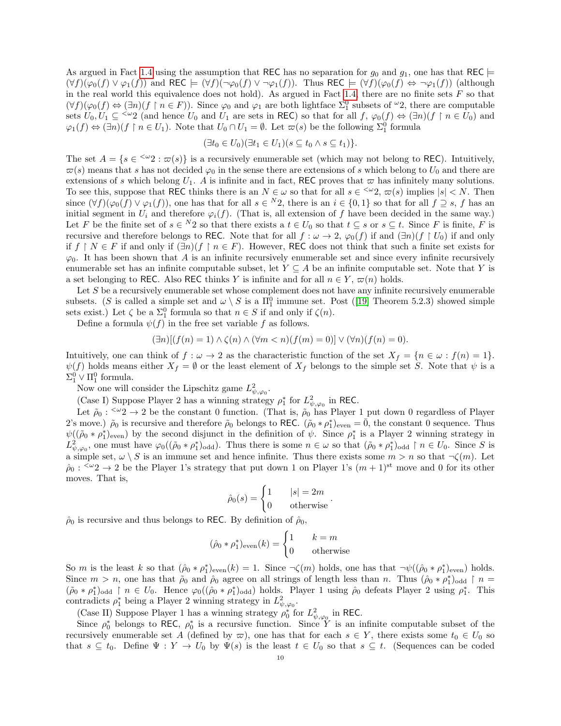As argued in Fact [1.4](#page-6-0) using the assumption that REC has no separation for  $g_0$  and  $g_1$ , one has that REC  $\models$  $(\forall f)(\varphi_0(f) \vee \varphi_1(f))$  and REC  $\models (\forall f)(\neg \varphi_0(f) \vee \neg \varphi_1(f))$ . Thus REC  $\models (\forall f)(\varphi_0(f) \Leftrightarrow \neg \varphi_1(f))$  (although in the real world this equivalence does not hold). As argued in Fact [1.4,](#page-6-0) there are no finite sets  $F$  so that  $(\forall f)(\varphi_0(f) \Leftrightarrow (\exists n)(f \upharpoonright n \in F))$ . Since  $\varphi_0$  and  $\varphi_1$  are both lightface  $\Sigma_1^0$  subsets of  $\omega_2$ , there are computable sets  $U_0, U_1 \subseteq \langle \omega_2 \rangle$  (and hence  $U_0$  and  $U_1$  are sets in REC) so that for all  $f, \varphi_0(f) \Leftrightarrow (\exists n)(f \upharpoonright n \in U_0)$  and  $\varphi_1(f) \Leftrightarrow (\exists n)(f \restriction n \in U_1)$ . Note that  $U_0 \cap U_1 = \emptyset$ . Let  $\varpi(s)$  be the following  $\Sigma_1^0$  formula

$$
(\exists t_0 \in U_0)(\exists t_1 \in U_1)(s \subseteq t_0 \land s \subseteq t_1)\}.
$$

The set  $A = \{s \in \langle \omega_2 : \overline{\omega}(s)\}\$ is a recursively enumerable set (which may not belong to REC). Intuitively,  $\varpi(s)$  means that s has not decided  $\varphi_0$  in the sense there are extensions of s which belong to  $U_0$  and there are extensions of s which belong  $U_1$ . A is infinite and in fact, REC proves that  $\varpi$  has infinitely many solutions. To see this, suppose that REC thinks there is an  $N \in \omega$  so that for all  $s \in \langle \omega_2, \omega(s) \rangle$  implies  $|s| < N$ . Then since  $(\forall f)(\varphi_0(f) \vee \varphi_1(f))$ , one has that for all  $s \in {}^N2$ , there is an  $i \in \{0,1\}$  so that for all  $f \supseteq s$ , f has an initial segment in  $U_i$  and therefore  $\varphi_i(f)$ . (That is, all extension of f have been decided in the same way.) Let F be the finite set of  $s \in {}^N2$  so that there exists a  $t \in U_0$  so that  $t \subseteq s$  or  $s \subseteq t$ . Since F is finite, F is recursive and therefore belongs to REC. Note that for all  $f : \omega \to 2$ ,  $\varphi_0(f)$  if and  $(\exists n)(f \upharpoonright U_0)$  if and only if  $f \restriction N \in F$  if and only if  $(\exists n)(f \restriction n \in F)$ . However, REC does not think that such a finite set exists for  $\varphi_0$ . It has been shown that A is an infinite recursively enumerable set and since every infinite recursively enumerable set has an infinite computable subset, let  $Y \subseteq A$  be an infinite computable set. Note that Y is a set belonging to REC. Also REC thinks Y is infinite and for all  $n \in Y$ ,  $\varpi(n)$  holds.

Let  $S$  be a recursively enumerable set whose complement does not have any infinite recursively enumerable subsets.(S is called a simple set and  $\omega \setminus S$  is a  $\Pi_1^0$  immune set. Post ([\[19\]](#page-15-11) Theorem 5.2.3) showed simple sets exist.) Let  $\zeta$  be a  $\Sigma_1^0$  formula so that  $n \in S$  if and only if  $\zeta(n)$ .

Define a formula  $\psi(f)$  in the free set variable f as follows.

$$
(\exists n)[(f(n) = 1) \land \zeta(n) \land (\forall m < n)(f(m) = 0)] \lor (\forall n)(f(n) = 0).
$$

Intuitively, one can think of  $f : \omega \to 2$  as the characteristic function of the set  $X_f = \{n \in \omega : f(n) = 1\}.$  $\psi(f)$  holds means either  $X_f = \emptyset$  or the least element of  $X_f$  belongs to the simple set S. Note that  $\psi$  is a  $\Sigma_1^0 \vee \Pi_1^0$  formula.

Now one will consider the Lipschitz game  $L^2_{\psi,\varphi_0}$ .

(Case I) Suppose Player 2 has a winning strategy  $\rho_1^*$  for  $L^2_{\psi,\varphi_0}$  in REC.

Let  $\tilde{\rho}_0$ :  $\leq \omega_2 \to 2$  be the constant 0 function. (That is,  $\tilde{\rho}_0$  has Player 1 put down 0 regardless of Player 2's move.)  $\tilde{\rho}_0$  is recursive and therefore  $\tilde{\rho}_0$  belongs to REC.  $(\tilde{\rho}_0 * \rho_1^*)_{\text{even}} = \overline{0}$ , the constant 0 sequence. Thus  $\psi((\tilde{\rho}_0 * \rho_1^*)_{\text{even}})$  by the second disjunct in the definition of  $\psi$ . Since  $\rho_1^*$  is a Player 2 winning strategy in  $L^2_{\psi,\varphi_0}$ , one must have  $\varphi_0((\tilde{\rho}_0*\rho_1^*)_{\text{odd}})$ . Thus there is some  $n \in \omega$  so that  $(\tilde{\rho}_0*\rho_1^*)_{\text{odd}} \restriction n \in U_0$ . Since S is a simple set,  $\omega \setminus S$  is an immune set and hence infinite. Thus there exists some  $m > n$  so that  $\neg \zeta(m)$ . Let  $\rho_0: \langle x^2 \rangle \to 2$  be the Player 1's strategy that put down 1 on Player 1's  $(m+1)^{st}$  move and 0 for its other moves. That is,

$$
\hat{\rho}_0(s) = \begin{cases} 1 & |s| = 2m \\ 0 & \text{otherwise} \end{cases}.
$$

 $\hat{\rho}_0$  is recursive and thus belongs to REC. By definition of  $\hat{\rho}_0$ ,

$$
(\hat{\rho}_0 * \rho_1^*)_{\text{even}}(k) = \begin{cases} 1 & k = m \\ 0 & \text{otherwise} \end{cases}
$$

So m is the least k so that  $(\hat{\rho}_0 * \rho_1^*)_{\text{even}}(k) = 1$ . Since  $\neg \zeta(m)$  holds, one has that  $\neg \psi((\hat{\rho}_0 * \rho_1^*)_{\text{even}})$  holds. Since  $m > n$ , one has that  $\tilde{\rho}_0$  and  $\hat{\rho}_0$  agree on all strings of length less than n. Thus  $(\hat{\rho}_0 * \rho_1^*)_{\text{odd}} \restriction n =$  $(\tilde{\rho}_0 * \rho_1^*)_{\text{odd}} \restriction n \in U_0$ . Hence  $\varphi_0((\hat{\rho}_0 * \rho_1^*)_{\text{odd}})$  holds. Player 1 using  $\hat{\rho}_0$  defeats Player 2 using  $\rho_1^*$ . This contradicts  $\rho_1^*$  being a Player 2 winning strategy in  $L^2_{\psi,\varphi_0}$ .

(Case II) Suppose Player 1 has a winning strategy  $\rho_0^*$  for  $L^2_{\psi,\varphi_0}$  in REC.

Since  $\rho_0^*$  belongs to REC,  $\rho_0^*$  is a recursive function. Since Y is an infinite computable subset of the recursively enumerable set A (defined by  $\varpi$ ), one has that for each  $s \in Y$ , there exists some  $t_0 \in U_0$  so that  $s \subseteq t_0$ . Define  $\Psi : Y \to U_0$  by  $\Psi(s)$  is the least  $t \in U_0$  so that  $s \subseteq t$ . (Sequences can be coded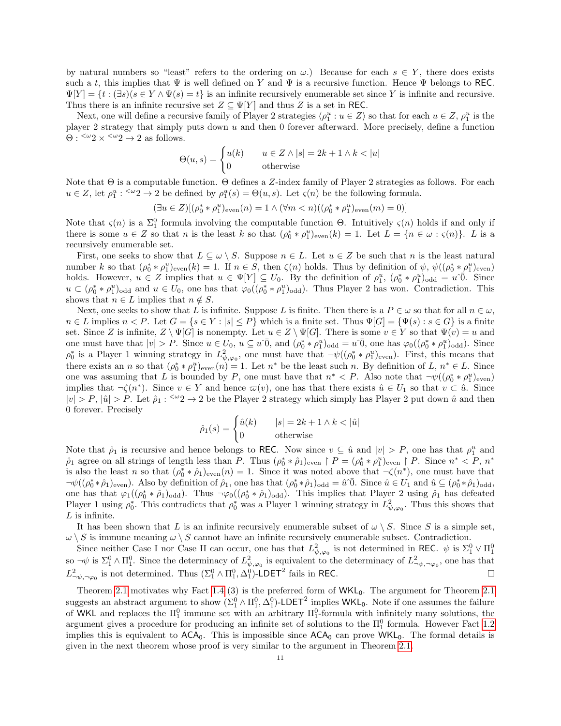by natural numbers so "least" refers to the ordering on  $\omega$ .) Because for each  $s \in Y$ , there does exists such a t, this implies that  $\Psi$  is well defined on Y and  $\Psi$  is a recursive function. Hence  $\Psi$  belongs to REC.  $\Psi[Y] = \{t : (\exists s)(s \in Y \wedge \Psi(s) = t\}$  is an infinite recursively enumerable set since Y is infinite and recursive. Thus there is an infinite recursive set  $Z \subseteq \Psi[Y]$  and thus Z is a set in REC.

Next, one will define a recursive family of Player 2 strategies  $\langle \rho_1^u : u \in Z \rangle$  so that for each  $u \in Z$ ,  $\rho_1^u$  is the player 2 strategy that simply puts down  $u$  and then 0 forever afterward. More precisely, define a function  $\Theta$  : <sup> $\langle \omega_2 \rangle \times \langle \omega_2 \rangle$   $\rightarrow$  2 as follows.</sup>

$$
\Theta(u,s) = \begin{cases} u(k) & u \in Z \land |s| = 2k + 1 \land k < |u| \\ 0 & \text{otherwise} \end{cases}
$$

Note that Θ is a computable function. Θ defines a Z-index family of Player 2 strategies as follows. For each  $u \in Z$ , let  $\rho_1^u : \langle u_2 \rangle \to 2$  be defined by  $\rho_1^u(s) = \Theta(u, s)$ . Let  $\varsigma(n)$  be the following formula.

$$
(\exists u \in Z) [(\rho_0^* * \rho_1^u)_{\text{even}}(n) = 1 \land (\forall m < n) ((\rho_0^* * \rho_1^u)_{\text{even}}(m) = 0)]
$$

Note that  $\zeta(n)$  is a  $\Sigma_1^0$  formula involving the computable function  $\Theta$ . Intuitively  $\zeta(n)$  holds if and only if there is some  $u \in Z$  so that n is the least k so that  $(\rho_0^* * \rho_1^u)_{\text{even}}(k) = 1$ . Let  $L = \{n \in \omega : \varsigma(n)\}\$ . L is a recursively enumerable set.

First, one seeks to show that  $L \subseteq \omega \setminus S$ . Suppose  $n \in L$ . Let  $u \in Z$  be such that n is the least natural number k so that  $(\rho_0^* * \rho_1^u)_{\text{even}}(k) = 1$ . If  $n \in S$ , then  $\zeta(n)$  holds. Thus by definition of  $\psi$ ,  $\psi((\rho_0^* * \rho_1^u)_{\text{even}})$ holds. However,  $u \in Z$  implies that  $u \in \Psi[Y] \subseteq U_0$ . By the definition of  $\rho_1^u$ ,  $(\rho_0^* * \rho_1^u)_{\text{odd}} = u^0 \overline{0}$ . Since  $u \,\subset (\rho_0^* * \rho_1^u)_{odd}$  and  $u \in U_0$ , one has that  $\varphi_0((\rho_0^* * \rho_1^u)_{odd})$ . Thus Player 2 has won. Contradiction. This shows that  $n \in L$  implies that  $n \notin S$ .

Next, one seeks to show that L is infinite. Suppose L is finite. Then there is a  $P \in \omega$  so that for all  $n \in \omega$ ,  $n \in L$  implies  $n < P$ . Let  $G = \{s \in Y : |s| \leq P\}$  which is a finite set. Thus  $\Psi[G] = \{\Psi(s) : s \in G\}$  is a finite set. Since Z is infinite,  $Z \setminus \Psi[G]$  is nonempty. Let  $u \in Z \setminus \Psi[G]$ . There is some  $v \in Y$  so that  $\Psi(v) = u$  and one must have that  $|v| > P$ . Since  $u \in U_0$ ,  $u \subseteq u^0$ , and  $(\rho_0^* * \rho_1^u)_{\text{odd}} = u^0$ , one has  $\varphi_0((\rho_0^* * \rho_1^u)_{\text{odd}})$ . Since  $\rho_0^*$  is a Player 1 winning strategy in  $L^2_{\psi,\varphi_0}$ , one must have that  $\neg\psi((\rho_0^*\ast\rho_1^u)_{\text{even}})$ . First, this means that there exists an *n* so that  $(\rho_0^* * \rho_1^u)_{even}(n) = 1$ . Let  $n^*$  be the least such *n*. By definition of L,  $n^* \in L$ . Since one was assuming that L is bounded by P, one must have that  $n^* < P$ . Also note that  $\neg\psi((\rho_0^* * \rho_1^u)_{\text{even}})$ implies that  $\neg \zeta(n^*)$ . Since  $v \in Y$  and hence  $\varpi(v)$ , one has that there exists  $\hat{u} \in U_1$  so that  $v \subset \hat{u}$ . Since  $|v| > P$ ,  $|\hat{u}| > P$ . Let  $\hat{\rho}_1$ :  $\leq \omega_2 \to 2$  be the Player 2 strategy which simply has Player 2 put down  $\hat{u}$  and then 0 forever. Precisely

$$
\hat{\rho}_1(s) = \begin{cases} \hat{u}(k) & |s| = 2k + 1 \wedge k < |\hat{u}| \\ 0 & \text{otherwise} \end{cases}
$$

Note that  $\hat{\rho}_1$  is recursive and hence belongs to REC. Now since  $v \subseteq \hat{u}$  and  $|v| > P$ , one has that  $\rho_1^u$  and  $\rho_1$  agree on all strings of length less than P. Thus  $(\rho_0^* * \hat{\rho}_1)_{\text{even}} \upharpoonright P = (\rho_0^* * \rho_1^*)_{\text{even}} \upharpoonright P$ . Since  $n^* < P$ ,  $n^*$ is also the least n so that  $(\rho_0^* * \hat{\rho}_1)_{\text{even}}(n) = 1$ . Since it was noted above that  $\neg \zeta(n^*)$ , one must have that  $\neg\psi((\rho_0^*\ast\hat{\rho}_1)_{\text{even}})$ . Also by definition of  $\hat{\rho}_1$ , one has that  $(\rho_0^*\ast\hat{\rho}_1)_{\text{odd}} = \hat{u}^T\overline{0}$ . Since  $\hat{u} \in U_1$  and  $\hat{u} \subseteq (\rho_0^*\ast\hat{\rho}_1)_{\text{odd}}$ , one has that  $\varphi_1((\rho_0^* * \hat{\rho}_1)_{odd})$ . Thus  $\neg \varphi_0((\rho_0^* * \hat{\rho}_1)_{odd})$ . This implies that Player 2 using  $\hat{\rho}_1$  has defeated Player 1 using  $\rho_0^*$ . This contradicts that  $\rho_0^*$  was a Player 1 winning strategy in  $L^2_{\psi,\varphi_0}$ . Thus this shows that  $L$  is infinite.

It has been shown that L is an infinite recursively enumerable subset of  $\omega \setminus S$ . Since S is a simple set,  $\omega \setminus S$  is immune meaning  $\omega \setminus S$  cannot have an infinite recursively enumerable subset. Contradiction.

Since neither Case I nor Case II can occur, one has that  $L^2_{\psi,\varphi_0}$  is not determined in REC.  $\psi$  is  $\Sigma_1^0 \vee \Pi_1^0$ so  $\neg\psi$  is  $\Sigma_1^0 \wedge \Pi_1^0$ . Since the determinacy of  $L^2_{\psi,\varphi_0}$  is equivalent to the determinacy of  $L^2_{\neg\psi,\neg\varphi_0}$ , one has that  $L^2_{\neg \psi, \neg \varphi_0}$  is not determined. Thus  $(\Sigma_1^0 \wedge \Pi_1^0, \Delta_1^0)$ -LDET<sup>2</sup> fails in REC.

Theorem [2.1](#page-8-0) motivates why Fact [1.4](#page-6-0) (3) is the preferred form of  $WKL_0$ . The argument for Theorem 2.1 suggests an abstract argument to show  $(\Sigma_1^0 \wedge \Pi_1^0, \Delta_1^0)$ -LDET<sup>2</sup> implies WKL<sub>0</sub>. Note if one assumes the failure of WKL and replaces the  $\Pi_1^0$  immune set with an arbitrary  $\Pi_1^0$ -formula with infinitely many solutions, the argument gives a procedure for producing an infinite set of solutions to the  $\Pi_1^0$  formula. However Fact [1.2](#page-5-0) implies this is equivalent to  $ACA_0$ . This is impossible since  $ACA_0$  can prove  $WKL_0$ . The formal details is given in the next theorem whose proof is very similar to the argument in Theorem [2.1.](#page-8-0)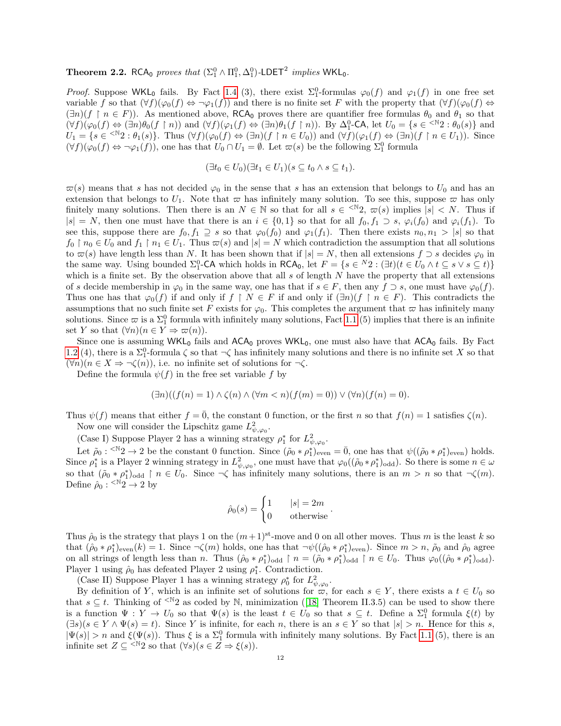<span id="page-11-0"></span>**Theorem 2.2.** RCA<sub>0</sub> proves that  $(\Sigma_1^0 \wedge \Pi_1^0, \Delta_1^0)$ -LDET<sup>2</sup> implies WKL<sub>0</sub>.

*Proof.* Suppose WKL<sub>0</sub> fails. By Fact [1.4](#page-6-0) (3), there exist  $\Sigma_1^0$ -formulas  $\varphi_0(f)$  and  $\varphi_1(f)$  in one free set variable f so that  $(\forall f)(\varphi_0(f) \Leftrightarrow \neg \varphi_1(f))$  and there is no finite set F with the property that  $(\forall f)(\varphi_0(f) \Leftrightarrow \neg \varphi_1(f))$  $(\exists n)(f \restriction n \in F)$ . As mentioned above, RCA<sub>0</sub> proves there are quantifier free formulas  $\theta_0$  and  $\theta_1$  so that  $(\forall f)(\varphi_0(f) \Leftrightarrow (\exists n)\theta_0(f \upharpoonright n))$  and  $(\forall f)(\varphi_1(f) \Leftrightarrow (\exists n)\theta_1(f \upharpoonright n))$ . By  $\Delta_1^0$ -CA, let  $U_0 = \{s \in \langle \mathbb{N}^2 : \theta_0(s)\}\$  and  $U_1 = \{s \in \langle \mathbb{N}_2 : \theta_1(s)\}\.$  Thus  $(\forall f)(\varphi_0(f) \Leftrightarrow (\exists n)(f \upharpoonright n \in U_0))$  and  $(\forall f)(\varphi_1(f) \Leftrightarrow (\exists n)(f \upharpoonright n \in U_1))$ . Since  $(\forall f)(\varphi_0(f) \Leftrightarrow \neg \varphi_1(f))$ , one has that  $U_0 \cap U_1 = \emptyset$ . Let  $\varpi(s)$  be the following  $\Sigma_1^0$  formula

$$
(\exists t_0 \in U_0)(\exists t_1 \in U_1)(s \subseteq t_0 \land s \subseteq t_1).
$$

 $\overline{\omega}(s)$  means that s has not decided  $\varphi_0$  in the sense that s has an extension that belongs to  $U_0$  and has an extension that belongs to  $U_1$ . Note that  $\varpi$  has infinitely many solution. To see this, suppose  $\varpi$  has only finitely many solutions. Then there is an  $N \in \mathbb{N}$  so that for all  $s \in \{N, \infty\}$  implies  $|s| < N$ . Thus if  $|s| = N$ , then one must have that there is an  $i \in \{0,1\}$  so that for all  $f_0, f_1 \supset s$ ,  $\varphi_i(f_0)$  and  $\varphi_i(f_1)$ . To see this, suppose there are  $f_0, f_1 \supseteq s$  so that  $\varphi_0(f_0)$  and  $\varphi_1(f_1)$ . Then there exists  $n_0, n_1 > |s|$  so that  $f_0 \restriction n_0 \in U_0$  and  $f_1 \restriction n_1 \in U_1$ . Thus  $\varpi(s)$  and  $|s| = N$  which contradiction the assumption that all solutions to  $\varpi(s)$  have length less than N. It has been shown that if  $|s| = N$ , then all extensions  $f \supset s$  decides  $\varphi_0$  in the same way. Using bounded  $\Sigma_1^0$ -CA which holds in RCA<sub>0</sub>, let  $F = \{s \in {}^N2 : (\exists t)(t \in U_0 \land t \subseteq s \lor s \subseteq t)\}\$ which is a finite set. By the observation above that all  $s$  of length  $N$  have the property that all extensions of s decide membership in  $\varphi_0$  in the same way, one has that if  $s \in F$ , then any  $f \supset s$ , one must have  $\varphi_0(f)$ . Thus one has that  $\varphi_0(f)$  if and only if  $f \restriction N \in F$  if and only if  $(\exists n)(f \restriction n \in F)$ . This contradicts the assumptions that no such finite set F exists for  $\varphi_0$ . This completes the argument that  $\varpi$  has infinitely many solutions. Since  $\varpi$  is a  $\Sigma_1^0$  formula with infinitely many solutions, Fact [1.1](#page-4-0) (5) implies that there is an infinite set Y so that  $(\forall n)(n \in Y \Rightarrow \varpi(n)).$ 

Since one is assuming  $WKL_0$  fails and  $ACA_0$  proves  $WKL_0$ , one must also have that  $ACA_0$  fails. By Fact [1.2](#page-5-0) (4), there is a  $\Sigma_1^0$ -formula  $\zeta$  so that  $\neg \zeta$  has infinitely many solutions and there is no infinite set X so that  $(\forall n)(n \in X \Rightarrow \neg \zeta(n))$ , i.e. no infinite set of solutions for  $\neg \zeta$ .

Define the formula  $\psi(f)$  in the free set variable f by

$$
(\exists n)((f(n) = 1) \land \zeta(n) \land (\forall m < n)(f(m) = 0)) \lor (\forall n)(f(n) = 0).
$$

Thus  $\psi(f)$  means that either  $f = \overline{0}$ , the constant 0 function, or the first n so that  $f(n) = 1$  satisfies  $\zeta(n)$ . Now one will consider the Lipschitz game  $L^2_{\psi,\varphi_0}$ .

(Case I) Suppose Player 2 has a winning strategy  $\rho_1^*$  for  $L^2_{\psi,\varphi_0}$ .

Let  $\tilde{\rho}_0$ : <sup> $\langle N_2 \rangle$ </sup>  $\to$  2 be the constant 0 function. Since  $(\tilde{\rho}_0 * \rho_1^*)_{\text{even}} = \overline{0}$ , one has that  $\psi((\tilde{\rho}_0 * \rho_1^*)_{\text{even}})$  holds. Since  $\rho_1^*$  is a Player 2 winning strategy in  $L^2_{\psi,\varphi_0}$ , one must have that  $\varphi_0((\tilde{\rho}_0*\rho_1^*)_{\text{odd}})$ . So there is some  $n \in \omega$ so that  $(\tilde{\rho}_0 * \rho_1^*)_{odd} \restriction n \in U_0$ . Since  $\neg \zeta$  has infinitely many solutions, there is an  $m > n$  so that  $\neg \zeta(m)$ . Define  $\hat{\rho}_0$  :  $\leq N2 \rightarrow 2$  by

$$
\hat{\rho}_0(s) = \begin{cases} 1 & |s| = 2m \\ 0 & \text{otherwise} \end{cases}.
$$

Thus  $\hat{\rho}_0$  is the strategy that plays 1 on the  $(m+1)^{st}$ -move and 0 on all other moves. Thus m is the least k so that  $(\hat{\rho}_0 * \rho_1^*)_{even}(k) = 1$ . Since  $\neg \zeta(m)$  holds, one has that  $\neg \psi((\hat{\rho}_0 * \rho_1^*)_{even})$ . Since  $m > n$ ,  $\tilde{\rho}_0$  and  $\hat{\rho}_0$  agree on all strings of length less than n. Thus  $(\hat{\rho}_0 * \rho_1^*)_{\text{odd}} \upharpoonright n = (\tilde{\rho}_0 * \rho_1^*)_{\text{odd}} \upharpoonright n \in U_0$ . Thus  $\varphi_0((\hat{\rho}_0 * \rho_1^*)_{\text{odd}})$ . Player 1 using  $\rho_0$  has defeated Player 2 using  $\rho_1^*$ . Contradiction.

(Case II) Suppose Player 1 has a winning strategy  $\rho_0^*$  for  $L^2_{\psi,\varphi_0}$ .

By definition of Y, which is an infinite set of solutions for  $\overline{\omega}$ , for each  $s \in Y$ , there exists a  $t \in U_0$  so that $s \subseteq t$ . Thinking of <sup><N</sup>2 as coded by N, minimization ([\[18\]](#page-15-5) Theorem II.3.5) can be used to show there is a function  $\Psi: Y \to U_0$  so that  $\Psi(s)$  is the least  $t \in U_0$  so that  $s \subseteq t$ . Define a  $\Sigma_1^0$  formula  $\xi(t)$  by  $(\exists s)(s \in Y \land \Psi(s) = t)$ . Since Y is infinite, for each n, there is an  $s \in Y$  so that  $|s| > n$ . Hence for this s,  $|\Psi(s)| > n$  and  $\xi(\Psi(s))$ . Thus  $\xi$  is a  $\Sigma_1^0$  formula with infinitely many solutions. By Fact [1.1](#page-4-0) (5), there is an infinite set  $Z \subseteq \langle N_2 \rangle$  so that  $(\forall s)(s \in Z \Rightarrow \xi(s)).$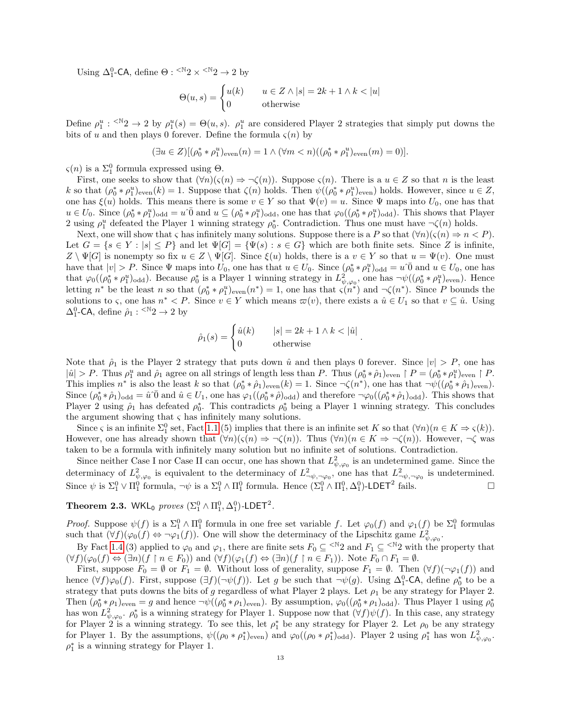Using  $\Delta_1^0$ -CA, define  $\Theta$ : <sup><N</sup>2 × <sup><N</sup>2 → 2 by

$$
\Theta(u,s) = \begin{cases} u(k) & u \in Z \land |s| = 2k + 1 \land k < |u| \\ 0 & \text{otherwise} \end{cases}
$$

Define  $\rho_1^u: \langle N_2 \rangle \to 2$  by  $\rho_1^u(s) = \Theta(u, s)$ .  $\rho_1^u$  are considered Player 2 strategies that simply put downs the bits of u and then plays 0 forever. Define the formula  $\varsigma(n)$  by

$$
(\exists u \in Z) [(\rho_0^* * \rho_1^u)_{\text{even}}(n) = 1 \land (\forall m < n) ((\rho_0^* * \rho_1^u)_{\text{even}}(m) = 0)].
$$

 $\varsigma(n)$  is a  $\Sigma_1^0$  formula expressed using  $\Theta$ .

First, one seeks to show that  $(\forall n)(\varsigma(n) \Rightarrow \neg \zeta(n))$ . Suppose  $\varsigma(n)$ . There is a  $u \in Z$  so that n is the least k so that  $(\rho_0^* * \rho_1^u)_{\text{even}}(k) = 1$ . Suppose that  $\zeta(n)$  holds. Then  $\psi((\rho_0^* * \rho_1^u)_{\text{even}})$  holds. However, since  $u \in Z$ , one has  $\xi(u)$  holds. This means there is some  $v \in Y$  so that  $\Psi(v) = u$ . Since  $\Psi$  maps into  $U_0$ , one has that  $u \in U_0$ . Since  $(\rho_0^* * \rho_1^u)_{odd} = u \overline{0}$  and  $u \subseteq (\rho_0^* * \rho_1^u)_{odd}$ , one has that  $\varphi_0((\rho_0^* * \rho_1^u)_{odd})$ . This shows that Player 2 using  $\rho_1^u$  defeated the Player 1 winning strategy  $\rho_0^*$ . Contradiction. Thus one must have  $\neg \zeta(n)$  holds.

Next, one will show that  $\varsigma$  has infinitely many solutions. Suppose there is a P so that  $(\forall n)(\varsigma(n) \Rightarrow n < P)$ . Let  $G = \{s \in Y : |s| \leq P\}$  and let  $\Psi[G] = \{\Psi(s) : s \in G\}$  which are both finite sets. Since Z is infinite,  $Z \setminus \Psi[G]$  is nonempty so fix  $u \in Z \setminus \Psi[G]$ . Since  $\xi(u)$  holds, there is a  $v \in Y$  so that  $u = \Psi(v)$ . One must have that  $|v| > P$ . Since  $\Psi$  maps into  $U_0$ , one has that  $u \in U_0$ . Since  $(\rho_0^* * \rho_1^u)_{odd} = u \hat{\theta}$  and  $u \in U_0$ , one has that  $\varphi_0((\rho_0^* * \rho_1^u)_{odd})$ . Because  $\rho_0^*$  is a Player 1 winning strategy in  $L^2_{\psi,\varphi_0}$ , one has  $\neg\psi((\rho_0^* * \rho_1^u)_{even})$ . Hence letting  $n^*$  be the least n so that  $(\rho_0^* * \rho_1^u)_{\text{even}}(n^*) = 1$ , one has that  $\varsigma(n^*)$  and  $\neg \zeta(n^*)$ . Since P bounds the solutions to  $\varsigma$ , one has  $n^* < P$ . Since  $v \in Y$  which means  $\varpi(v)$ , there exists a  $\hat{u} \in U_1$  so that  $v \subseteq \hat{u}$ . Using  $\Delta_1^0$ -CA, define  $\hat{\rho}_1$ : <sup> $\leq \mathbb{N}2 \rightarrow 2$  by</sup>

$$
\hat{\rho}_1(s) = \begin{cases} \hat{u}(k) & |s| = 2k + 1 \wedge k < |\hat{u}| \\ 0 & \text{otherwise} \end{cases}.
$$

Note that  $\hat{\rho}_1$  is the Player 2 strategy that puts down  $\hat{u}$  and then plays 0 forever. Since  $|v| > P$ , one has  $|\hat{u}| > P$ . Thus  $\rho_1^u$  and  $\rho_1$  agree on all strings of length less than P. Thus  $(\rho_0^* * \hat{\rho}_1)_{\text{even}} \upharpoonright P = (\rho_0^* * \rho_1^u)_{\text{even}} \upharpoonright P$ . This implies  $n^*$  is also the least k so that  $(\rho_0^* * \hat{\rho}_1)_{\text{even}}(k) = 1$ . Since  $\neg \zeta(n^*)$ , one has that  $\neg \psi((\rho_0^* * \hat{\rho}_1)_{\text{even}})$ . Since  $(\rho_0^* * \hat{\rho}_1)_{\text{odd}} = \hat{u} \cdot \overline{0}$  and  $\hat{u} \in U_1$ , one has  $\varphi_1((\rho_0^* * \hat{\rho})_{\text{odd}})$  and therefore  $\neg \varphi_0((\rho_0^* * \hat{\rho}_1)_{\text{odd}})$ . This shows that Player 2 using  $\hat{\rho}_1$  has defeated  $\rho_0^*$ . This contradicts  $\rho_0^*$  being a Player 1 winning strategy. This concludes the argument showing that  $\varsigma$  has infinitely many solutions.

Since  $\varsigma$  is an infinite  $\Sigma_1^0$  set, Fact [1.1](#page-4-0) (5) implies that there is an infinite set K so that  $(\forall n)(n \in K \Rightarrow \varsigma(k)).$ However, one has already shown that  $(\forall n)(\varsigma(n) \Rightarrow \neg \zeta(n))$ . Thus  $(\forall n)(n \in K \Rightarrow \neg \zeta(n))$ . However,  $\neg \zeta$  was taken to be a formula with infinitely many solution but no infinite set of solutions. Contradiction.

Since neither Case I nor Case II can occur, one has shown that  $L^2_{\psi,\varphi_0}$  is an undetermined game. Since the determinacy of  $L^2_{\psi,\varphi_0}$  is equivalent to the determinacy of  $L^2_{\neg\psi,\neg\varphi_0}$ , one has that  $L^2_{\neg\psi,\neg\varphi_0}$  is undetermined. Since  $\psi$  is  $\Sigma_1^0 \vee \Pi_1^0$  formula,  $\neg \psi$  is a  $\Sigma_1^0 \wedge \Pi_1^0$  formula. Hence  $(\Sigma_1^0 \wedge \Pi_1^0, \Delta_1^0)$ -LDET<sup>2</sup> fails.

# <span id="page-12-0"></span>**Theorem 2.3.** WKL<sub>0</sub> proves  $(\Sigma_1^0 \wedge \Pi_1^0, \Delta_1^0)$ -LDET<sup>2</sup>.

*Proof.* Suppose  $\psi(f)$  is a  $\Sigma^0_1 \wedge \Pi^0_1$  formula in one free set variable f. Let  $\varphi_0(f)$  and  $\varphi_1(f)$  be  $\Sigma^0_1$  formulas such that  $(\forall f)(\varphi_0(f) \Leftrightarrow \neg \varphi_1(f))$ . One will show the determinacy of the Lipschitz game  $L^2_{\psi,\varphi_0}$ .

By Fact [1.4](#page-6-0) (3) applied to  $\varphi_0$  and  $\varphi_1$ , there are finite sets  $F_0 \subseteq \langle N_2 \rangle$  and  $F_1 \subseteq \langle N_2 \rangle$  with the property that  $(\forall f)(\varphi_0(f) \Leftrightarrow (\exists n)(f \upharpoonright n \in F_0))$  and  $(\forall f)(\varphi_1(f) \Leftrightarrow (\exists n)(f \upharpoonright n \in F_1))$ . Note  $F_0 \cap F_1 = \emptyset$ .

First, suppose  $F_0 = \emptyset$  or  $F_1 = \emptyset$ . Without loss of generality, suppose  $F_1 = \emptyset$ . Then  $(\forall f)(\neg \varphi_1(f))$  and hence  $(\forall f)\varphi_0(f)$ . First, suppose  $(\exists f)(\neg\psi(f))$ . Let g be such that  $\neg\psi(g)$ . Using  $\Delta_1^0$ -CA, define  $\rho_0^*$  to be a strategy that puts downs the bits of g regardless of what Player 2 plays. Let  $\rho_1$  be any strategy for Player 2. Then  $(\rho_0^* * \rho_1)_{\text{even}} = g$  and hence  $\neg \psi((\rho_0^* * \rho_1)_{\text{even}})$ . By assumption,  $\varphi_0((\rho_0^* * \rho_1)_{\text{odd}})$ . Thus Player 1 using  $\rho_0^*$ has won  $L^2_{\psi,\varphi_0}$ .  $\rho_0^*$  is a winning strategy for Player 1. Suppose now that  $(\forall f)\psi(f)$ . In this case, any strategy for Player 2 is a winning strategy. To see this, let  $\rho_1^*$  be any strategy for Player 2. Let  $\rho_0$  be any strategy for Player 1. By the assumptions,  $\psi((\rho_0 * \rho_1^*)_{\text{even}})$  and  $\varphi_0((\rho_0 * \rho_1^*)_{\text{odd}})$ . Player 2 using  $\rho_1^*$  has won  $L^2_{\psi,\varphi_0}$ .  $\rho_1^*$  is a winning strategy for Player 1.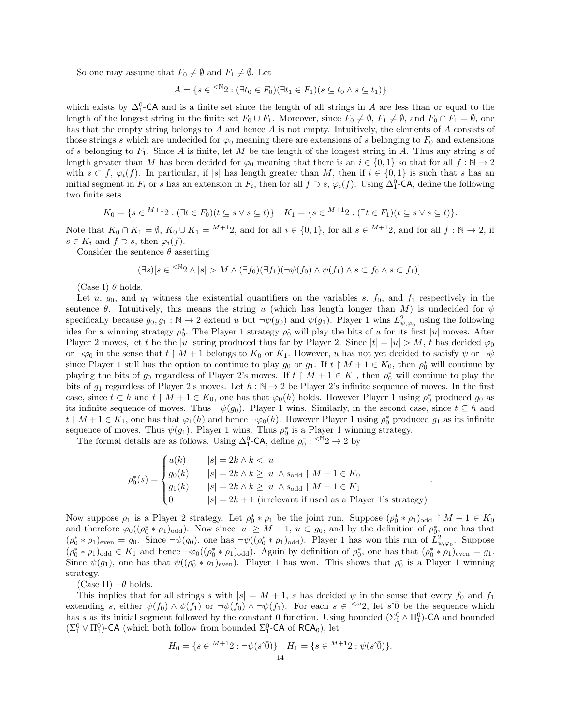So one may assume that  $F_0 \neq \emptyset$  and  $F_1 \neq \emptyset$ . Let

$$
A = \{ s \in \mathbb{R}^n : (\exists t_0 \in F_0)(\exists t_1 \in F_1)(s \subseteq t_0 \land s \subseteq t_1) \}
$$

which exists by  $\Delta_1^0$ -CA and is a finite set since the length of all strings in A are less than or equal to the length of the longest string in the finite set  $F_0 \cup F_1$ . Moreover, since  $F_0 \neq \emptyset$ ,  $F_1 \neq \emptyset$ , and  $F_0 \cap F_1 = \emptyset$ , one has that the empty string belongs to A and hence A is not empty. Intuitively, the elements of A consists of those strings s which are undecided for  $\varphi_0$  meaning there are extensions of s belonging to  $F_0$  and extensions of s belonging to  $F_1$ . Since A is finite, let M be the length of the longest string in A. Thus any string s of length greater than M has been decided for  $\varphi_0$  meaning that there is an  $i \in \{0,1\}$  so that for all  $f : \mathbb{N} \to 2$ with  $s \subset f$ ,  $\varphi_i(f)$ . In particular, if |s| has length greater than M, then if  $i \in \{0,1\}$  is such that s has an initial segment in  $F_i$  or s has an extension in  $F_i$ , then for all  $f \supset s$ ,  $\varphi_i(f)$ . Using  $\Delta_1^0$ -CA, define the following two finite sets.

$$
K_0 = \{ s \in {}^{M+1}2 : (\exists t \in F_0)(t \subseteq s \lor s \subseteq t) \} \quad K_1 = \{ s \in {}^{M+1}2 : (\exists t \in F_1)(t \subseteq s \lor s \subseteq t) \}.
$$

Note that  $K_0 \cap K_1 = \emptyset$ ,  $K_0 \cup K_1 = {}^{M+1}2$ , and for all  $i \in \{0,1\}$ , for all  $s \in {}^{M+1}2$ , and for all  $f : \mathbb{N} \to 2$ , if  $s \in K_i$  and  $f \supset s$ , then  $\varphi_i(f)$ .

Consider the sentence  $\theta$  asserting

$$
(\exists s)[s \in {}^{<\mathbb{N}} 2 \wedge |s| > M \wedge (\exists f_0)(\exists f_1)(\neg \psi(f_0) \wedge \psi(f_1) \wedge s \subset f_0 \wedge s \subset f_1)].
$$

(Case I)  $\theta$  holds.

Let u,  $g_0$ , and  $g_1$  witness the existential quantifiers on the variables s,  $f_0$ , and  $f_1$  respectively in the sentence  $\theta$ . Intuitively, this means the string u (which has length longer than M) is undecided for  $\psi$ specifically because  $g_0, g_1 : \mathbb{N} \to 2$  extend u but  $\neg \psi(g_0)$  and  $\psi(g_1)$ . Player 1 wins  $L^2_{\psi, \varphi_0}$  using the following idea for a winning strategy  $\rho_0^*$ . The Player 1 strategy  $\rho_0^*$  will play the bits of u for its first |u| moves. After Player 2 moves, let t be the |u| string produced thus far by Player 2. Since  $|t| = |u| > M$ , t has decided  $\varphi_0$ or  $\neg \varphi_0$  in the sense that  $t \upharpoonright M + 1$  belongs to  $K_0$  or  $K_1$ . However, u has not yet decided to satisfy  $\psi$  or  $\neg \psi$ since Player 1 still has the option to continue to play  $g_0$  or  $g_1$ . If  $t \restriction M + 1 \in K_0$ , then  $\rho_0^*$  will continue by playing the bits of  $g_0$  regardless of Player 2's moves. If  $t \restriction M + 1 \in K_1$ , then  $\rho_0^*$  will continue to play the bits of  $g_1$  regardless of Player 2's moves. Let  $h : \mathbb{N} \to 2$  be Player 2's infinite sequence of moves. In the first case, since  $t \subset h$  and  $t \restriction M + 1 \in K_0$ , one has that  $\varphi_0(h)$  holds. However Player 1 using  $\rho_0^*$  produced  $g_0$  as its infinite sequence of moves. Thus  $\neg \psi(g_0)$ . Player 1 wins. Similarly, in the second case, since  $t \subseteq h$  and  $t \restriction M + 1 \in K_1$ , one has that  $\varphi_1(h)$  and hence  $\neg \varphi_0(h)$ . However Player 1 using  $\rho_0^*$  produced  $g_1$  as its infinite sequence of moves. Thus  $\psi(g_1)$ . Player 1 wins. Thus  $\rho_0^*$  is a Player 1 winning strategy.

The formal details are as follows. Using  $\Delta_1^0$ -CA, define  $\rho_0^* : \langle N^*2 \rangle \to 2$  by

$$
\rho_0^*(s) = \begin{cases}\nu(k) & |s| = 2k \land k < |u| \\
g_0(k) & |s| = 2k \land k \ge |u| \land s_{\text{odd}} \restriction M + 1 \in K_0 \\
g_1(k) & |s| = 2k \land k \ge |u| \land s_{\text{odd}} \restriction M + 1 \in K_1 \\
0 & |s| = 2k + 1 \text{ (irrelevant if used as a Player 1's strategy)}\n\end{cases}.
$$

Now suppose  $\rho_1$  is a Player 2 strategy. Let  $\rho_0^* * \rho_1$  be the joint run. Suppose  $(\rho_0^* * \rho_1)_{odd} \restriction M + 1 \in K_0$ and therefore  $\varphi_0((\rho_0^* * \rho_1)_{odd})$ . Now since  $|u| \geq M+1$ ,  $u \subset g_0$ , and by the definition of  $\rho_0^*$ , one has that  $(\rho_0^* * \rho_1)_{\text{even}} = g_0$ . Since  $\neg \psi(g_0)$ , one has  $\neg \psi((\rho_0^* * \rho_1)_{\text{odd}})$ . Player 1 has won this run of  $\tilde{L}^2_{\psi,\varphi_0}$ . Suppose  $(\rho_0^* * \rho_1)_{odd} \in K_1$  and hence  $\neg \varphi_0((\rho_0^* * \rho_1)_{odd})$ . Again by definition of  $\rho_0^*$ , one has that  $(\rho_0^* * \rho_1)_{even} = g_1$ . Since  $\psi(g_1)$ , one has that  $\psi((\rho_0^* * \rho_1)_{\text{even}})$ . Player 1 has won. This shows that  $\rho_0^*$  is a Player 1 winning strategy.

(Case II)  $\neg \theta$  holds.

This implies that for all strings s with  $|s| = M + 1$ , s has decided  $\psi$  in the sense that every  $f_0$  and  $f_1$ extending s, either  $\psi(f_0) \wedge \psi(f_1)$  or  $\neg \psi(f_0) \wedge \neg \psi(f_1)$ . For each  $s \in \langle \omega_2 \rangle$  let  $s \bar{0}$  be the sequence which has s as its initial segment followed by the constant 0 function. Using bounded  $(\Sigma_1^0 \wedge \Pi_1^0)$ -CA and bounded  $(\Sigma_1^0 \vee \Pi_1^0)$ -CA (which both follow from bounded  $\Sigma_1^0$ -CA of RCA<sub>0</sub>), let

$$
H_0 = \{ s \in {}^{M+1}2 : \neg \psi(s\widehat{\mathbf{0}}) \} \quad H_1 = \{ s \in {}^{M+1}2 : \psi(s\widehat{\mathbf{0}}) \}.
$$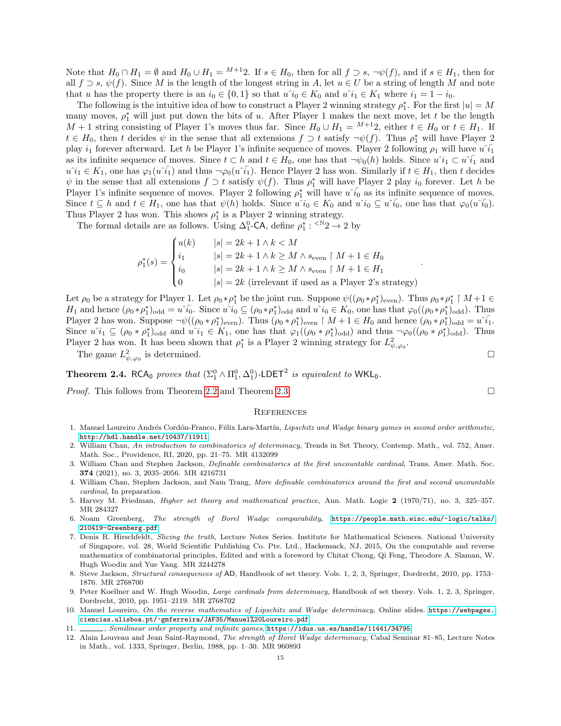Note that  $H_0 \cap H_1 = \emptyset$  and  $H_0 \cup H_1 = {}^{M+1}2$ . If  $s \in H_0$ , then for all  $f \supset s$ ,  $\neg \psi(f)$ , and if  $s \in H_1$ , then for all  $f \supset s, \psi(f)$ . Since M is the length of the longest string in A, let  $u \in U$  be a string of length M and note that u has the property there is an  $i_0 \in \{0,1\}$  so that  $u\hat{i}_0 \in K_0$  and  $u\hat{i}_1 \in K_1$  where  $i_1 = 1 - i_0$ .

The following is the intuitive idea of how to construct a Player 2 winning strategy  $\rho_1^*$ . For the first  $|u| = M$ many moves,  $\rho_1^*$  will just put down the bits of u. After Player 1 makes the next move, let t be the length  $M + 1$  string consisting of Player 1's moves thus far. Since  $H_0 \cup H_1 = {}^{M+1}2$ , either  $t \in H_0$  or  $t \in H_1$ . If  $t \in H_0$ , then t decides  $\psi$  in the sense that all extensions  $f \supset t$  satisfy  $\neg \psi(f)$ . Thus  $\rho_1^*$  will have Player 2 play  $i_1$  forever afterward. Let h be Player 1's infinite sequence of moves. Player 2 following  $\rho_1$  will have  $u^i\tilde{i}_1$ as its infinite sequence of moves. Since  $t \subset h$  and  $t \in H_0$ , one has that  $\neg \psi_0(h)$  holds. Since  $u^i i_1 \subset u^i \overline{i_1}$  and  $u^i i_1 \in K_1$ , one has  $\varphi_1(u^i \overline{i_1})$  and thus  $\neg \varphi_0(u^i \overline{i_1})$ . Hence Player 2 has won. Similarly if  $t \in H_1$ , then t decides  $\psi$  in the sense that all extensions  $f \supset t$  satisfy  $\psi(f)$ . Thus  $\rho_1^*$  will have Player 2 play  $i_0$  forever. Let h be Player 1's infinite sequence of moves. Player 2 following  $\rho_1^*$  will have  $u^*\bar{i_0}$  as its infinite sequence of moves. Since  $t \subseteq h$  and  $t \in H_1$ , one has that  $\psi(h)$  holds. Since  $\hat{u} \in K_0$  and  $\hat{u} \in \hat{u}$ , one has that  $\varphi_0(\hat{u} \cdot \hat{i}_0)$ . Thus Player 2 has won. This shows  $\rho_1^*$  is a Player 2 winning strategy.

The formal details are as follows. Using  $\Delta_1^0$ -CA, define  $\rho_1^* : \langle N_2 \rangle \to 2$  by

$$
\rho_1^*(s) = \begin{cases}\nu(k) & |s| = 2k + 1 \land k < M \\
i_1 & |s| = 2k + 1 \land k \ge M \land s_{\text{even}} \upharpoonright M + 1 \in H_0 \\
i_0 & |s| = 2k + 1 \land k \ge M \land s_{\text{even}} \upharpoonright M + 1 \in H_1 \\
0 & |s| = 2k \text{ (irrelevant if used as a Player 2's strategy)}\n\end{cases}
$$

Let  $\rho_0$  be a strategy for Player 1. Let  $\rho_0 * \rho_1^*$  be the joint run. Suppose  $\psi((\rho_0 * \rho_1^*)_{\text{even}})$ . Thus  $\rho_0 * \rho_1^* \upharpoonright M+1 \in$  $H_1$  and hence  $(\rho_0 * \rho_1^*)_{odd} = u^{\dagger} \bar{i}_0$ . Since  $u^{\dagger} i_0 \subseteq (\rho_0 * \rho_1^*)_{odd}$  and  $u^{\dagger} i_0 \in K_0$ , one has that  $\varphi_0((\rho_0 * \rho_1^*)_{odd})$ . Thus Player 2 has won. Suppose  $\neg\psi((\rho_0*\rho_1^*)_{\text{even}})$ . Thus  $(\rho_0*\rho_1^*)_{\text{even}} \upharpoonright M+1 \in H_0$  and hence  $(\rho_0*\rho_1^*)_{\text{odd}} = u \tilde{i}_1$ . Since  $u^i_1 \subseteq (\rho_0 * \rho_1^*)_{\text{odd}}$  and  $u^i_1 \in K_1$ , one has that  $\varphi_1((\rho_0 * \rho_1^*)_{\text{odd}})$  and thus  $\neg \varphi_0((\rho_0 * \rho_1^*)_{\text{odd}})$ . Thus Player 2 has won. It has been shown that  $\rho_1^*$  is a Player 2 winning strategy for  $L^2_{\psi,\varphi_0}$ .

The game  $L^2_{\psi,\varphi_0}$  is determined.

<span id="page-14-11"></span>**Theorem 2.4.** RCA<sub>0</sub> proves that  $(\Sigma_1^0 \wedge \Pi_1^0, \Delta_1^0)$ -LDET<sup>2</sup> is equivalent to WKL<sub>0</sub>.

*Proof.* This follows from Theorem [2.2](#page-11-0) and Theorem [2.3.](#page-12-0)

#### **REFERENCES**

- <span id="page-14-10"></span>1. Manuel Loureiro Andrés Cordón-Franco, Félix Lara-Martín, Lipschitz and Wadge binary games in second order arithmetic, <http://hdl.handle.net/10437/11911>.
- <span id="page-14-1"></span>2. William Chan, An introduction to combinatorics of determinacy, Trends in Set Theory, Contemp. Math., vol. 752, Amer. Math. Soc., Providence, RI, 2020, pp. 21–75. MR 4132099
- <span id="page-14-2"></span>3. William Chan and Stephen Jackson, Definable combinatorics at the first uncountable cardinal, Trans. Amer. Math. Soc. 374 (2021), no. 3, 2035–2056. MR 4216731
- <span id="page-14-3"></span>4. William Chan, Stephen Jackson, and Nam Trang, More definable combinatorics around the first and second uncountable cardinal, In preparation.
- <span id="page-14-6"></span>5. Harvey M. Friedman, Higher set theory and mathematical practice, Ann. Math. Logic 2 (1970/71), no. 3, 325–357. MR 284327
- <span id="page-14-12"></span>6. Noam Greenberg, The strength of Borel Wadge comparability, [https://people.math.wisc.edu/~logic/talks/](https://people.math.wisc.edu/~logic/talks/210419-Greenberg.pdf) [210419-Greenberg.pdf](https://people.math.wisc.edu/~logic/talks/210419-Greenberg.pdf).
- <span id="page-14-5"></span>7. Denis R. Hirschfeldt, Slicing the truth, Lecture Notes Series. Institute for Mathematical Sciences. National University of Singapore, vol. 28, World Scientific Publishing Co. Pte. Ltd., Hackensack, NJ, 2015, On the computable and reverse mathematics of combinatorial principles, Edited and with a foreword by Chitat Chong, Qi Feng, Theodore A. Slaman, W. Hugh Woodin and Yue Yang. MR 3244278
- <span id="page-14-0"></span>8. Steve Jackson, Structural consequences of AD, Handbook of set theory. Vols. 1, 2, 3, Springer, Dordrecht, 2010, pp. 1753– 1876. MR 2768700
- <span id="page-14-4"></span>9. Peter Koellner and W. Hugh Woodin, Large cardinals from determinacy, Handbook of set theory. Vols. 1, 2, 3, Springer, Dordrecht, 2010, pp. 1951–2119. MR 2768702
- <span id="page-14-8"></span>10. Manuel Loureiro, On the reverse mathematics of Lipschitz and Wadge determinacy, Online slides. [https://webpages.](https://webpages.ciencias.ulisboa.pt/~gmferreira/JAF35/Manuel%20Loureiro.pdf) [ciencias.ulisboa.pt/~gmferreira/JAF35/Manuel%20Loureiro.pdf](https://webpages.ciencias.ulisboa.pt/~gmferreira/JAF35/Manuel%20Loureiro.pdf).
- <span id="page-14-9"></span>11. , Semilinear order property and infinite games, <https://idus.us.es/handle/11441/34795>.
- <span id="page-14-7"></span>12. Alain Louveau and Jean Saint-Raymond, The strength of Borel Wadge determinacy, Cabal Seminar 81–85, Lecture Notes in Math., vol. 1333, Springer, Berlin, 1988, pp. 1–30. MR 960893

.